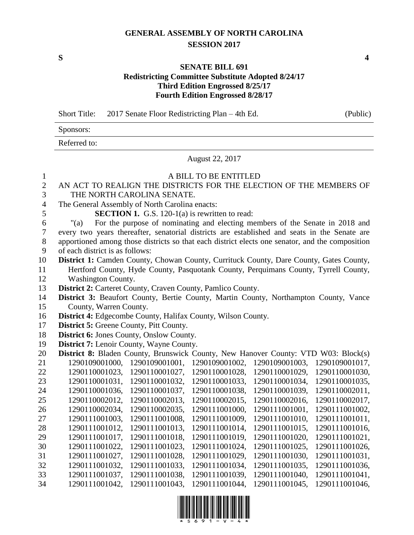#### **GENERAL ASSEMBLY OF NORTH CAROLINA SESSION 2017**

**S 4**

#### **SENATE BILL 691 Redistricting Committee Substitute Adopted 8/24/17 Third Edition Engrossed 8/25/17 Fourth Edition Engrossed 8/28/17**

Short Title: 2017 Senate Floor Redistricting Plan – 4th Ed. (Public)

Sponsors:

Referred to:

August 22, 2017

| $\mathbf{1}$     |                                                                                                 | A BILL TO BE ENTITLED |                |                |
|------------------|-------------------------------------------------------------------------------------------------|-----------------------|----------------|----------------|
| $\overline{c}$   | AN ACT TO REALIGN THE DISTRICTS FOR THE ELECTION OF THE MEMBERS OF                              |                       |                |                |
| 3                | THE NORTH CAROLINA SENATE.                                                                      |                       |                |                |
| $\overline{4}$   | The General Assembly of North Carolina enacts:                                                  |                       |                |                |
| 5                | <b>SECTION 1.</b> G.S. 120-1(a) is rewritten to read:                                           |                       |                |                |
| 6                | For the purpose of nominating and electing members of the Senate in 2018 and<br>" $(a)$         |                       |                |                |
| $\boldsymbol{7}$ | every two years thereafter, senatorial districts are established and seats in the Senate are    |                       |                |                |
| 8                | apportioned among those districts so that each district elects one senator, and the composition |                       |                |                |
| 9                | of each district is as follows:                                                                 |                       |                |                |
| 10               | District 1: Camden County, Chowan County, Currituck County, Dare County, Gates County,          |                       |                |                |
| 11               | Hertford County, Hyde County, Pasquotank County, Perquimans County, Tyrrell County,             |                       |                |                |
| 12               | <b>Washington County.</b>                                                                       |                       |                |                |
| 13               | District 2: Carteret County, Craven County, Pamlico County.                                     |                       |                |                |
| 14               | District 3: Beaufort County, Bertie County, Martin County, Northampton County, Vance            |                       |                |                |
| 15               | County, Warren County.                                                                          |                       |                |                |
| 16               | District 4: Edgecombe County, Halifax County, Wilson County.                                    |                       |                |                |
| 17               | <b>District 5: Greene County, Pitt County.</b>                                                  |                       |                |                |
| 18               | <b>District 6: Jones County, Onslow County.</b>                                                 |                       |                |                |
| 19               | <b>District 7:</b> Lenoir County, Wayne County.                                                 |                       |                |                |
| 20               | <b>District 8:</b> Bladen County, Brunswick County, New Hanover County: VTD W03: Block(s)       |                       |                |                |
| 21               | 1290109001000,<br>1290109001001,                                                                | 1290109001002,        | 1290109001003, | 1290109001017, |
| 22               | 1290110001023,<br>1290110001027,                                                                | 1290110001028,        | 1290110001029, | 1290110001030, |
| 23               | 1290110001031,<br>1290110001032,                                                                | 1290110001033,        | 1290110001034, | 1290110001035, |
| 24               | 1290110001036,<br>1290110001037,                                                                | 1290110001038,        | 1290110001039, | 1290110002011, |
| 25               | 1290110002012,<br>1290110002013,                                                                | 1290110002015,        | 1290110002016, | 1290110002017, |
| 26               | 1290110002034,<br>1290110002035,                                                                | 1290111001000,        | 1290111001001, | 1290111001002, |
| 27               | 1290111001003,<br>1290111001008,                                                                | 1290111001009,        | 1290111001010, | 1290111001011, |
| 28               | 1290111001012,<br>1290111001013,                                                                | 1290111001014,        | 1290111001015, | 1290111001016, |
| 29               | 1290111001017,<br>1290111001018,                                                                | 1290111001019,        | 1290111001020, | 1290111001021, |
| 30               | 1290111001022,<br>1290111001023,                                                                | 1290111001024,        | 1290111001025, | 1290111001026, |
| 31               | 1290111001027,<br>1290111001028,                                                                | 1290111001029,        | 1290111001030, | 1290111001031, |
| 32               | 1290111001032,<br>1290111001033,                                                                | 1290111001034,        | 1290111001035, | 1290111001036, |
| 33               | 1290111001037,<br>1290111001038,                                                                | 1290111001039,        | 1290111001040, | 1290111001041, |
| 34               | 1290111001042,<br>1290111001043.                                                                | 1290111001044,        | 1290111001045, | 1290111001046, |

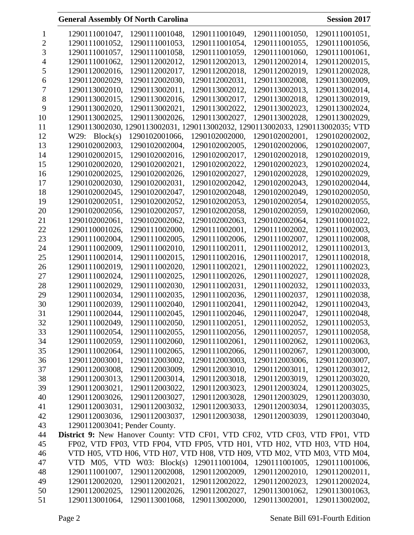|    | 1290111001047,                                                              | 1290111001048,                                                                 | 1290111001049, | 1290111001050, | 1290111001051, |
|----|-----------------------------------------------------------------------------|--------------------------------------------------------------------------------|----------------|----------------|----------------|
| 2  | 1290111001052,                                                              | 1290111001053,                                                                 | 1290111001054, | 1290111001055, | 1290111001056, |
| 3  | 1290111001057,                                                              | 1290111001058,                                                                 | 1290111001059, | 1290111001060, | 1290111001061, |
|    | 1290111001062,                                                              | 1290112002012,                                                                 | 1290112002013, | 1290112002014, | 1290112002015, |
| 5  | 1290112002016,                                                              | 1290112002017,                                                                 | 1290112002018, | 1290112002019, | 1290112002028, |
| 6  | 1290112002029,                                                              | 1290112002030,                                                                 | 1290112002031, | 1290113002008, | 1290113002009, |
| 7  | 1290113002010,                                                              | 1290113002011,                                                                 | 1290113002012, | 1290113002013, | 1290113002014, |
| 8  | 1290113002015,                                                              | 1290113002016,                                                                 | 1290113002017, | 1290113002018, | 1290113002019, |
| 9  | 1290113002020,                                                              | 1290113002021,                                                                 | 1290113002022, | 1290113002023, | 1290113002024, |
| 10 | 1290113002025,                                                              | 1290113002026,                                                                 | 1290113002027, | 1290113002028, | 1290113002029, |
| 11 |                                                                             | 1290113002030, 1290113002031, 1290113002032, 1290113002033, 1290113002035; VTD |                |                |                |
| 12 | W29: Block(s)                                                               | 1290102001066,                                                                 | 1290102002000, | 1290102002001, | 1290102002002, |
| 13 | 1290102002003,                                                              | 1290102002004,                                                                 | 1290102002005, | 1290102002006, | 1290102002007, |
| 14 | 1290102002015,                                                              | 1290102002016,                                                                 | 1290102002017, | 1290102002018, | 1290102002019, |
| 15 | 1290102002020,                                                              | 1290102002021,                                                                 | 1290102002022, | 1290102002023, | 1290102002024, |
| 16 | 1290102002025,                                                              | 1290102002026,                                                                 | 1290102002027, | 1290102002028, | 1290102002029, |
| 17 | 1290102002030,                                                              | 1290102002031,                                                                 | 1290102002042, | 1290102002043, | 1290102002044, |
| 18 | 1290102002045,                                                              | 1290102002047,                                                                 | 1290102002048, | 1290102002049, | 1290102002050, |
| 19 | 1290102002051,                                                              | 1290102002052,                                                                 | 1290102002053, | 1290102002054, | 1290102002055, |
| 20 | 1290102002056,                                                              | 1290102002057,                                                                 | 1290102002058, | 1290102002059, | 1290102002060, |
| 21 | 1290102002061,                                                              | 1290102002062,                                                                 | 1290102002063, | 1290102002064, | 1290110001022, |
| 22 | 1290110001026,                                                              | 1290111002000,                                                                 | 1290111002001, | 1290111002002, | 1290111002003, |
| 23 | 1290111002004,                                                              | 1290111002005,                                                                 | 1290111002006, | 1290111002007, | 1290111002008, |
| 24 | 1290111002009,                                                              | 1290111002010,                                                                 | 1290111002011, | 1290111002012, | 1290111002013, |
| 25 | 1290111002014,                                                              | 1290111002015,                                                                 | 1290111002016, | 1290111002017, | 1290111002018, |
| 26 | 1290111002019,                                                              | 1290111002020,                                                                 | 1290111002021, | 1290111002022, | 1290111002023, |
| 27 | 1290111002024,                                                              | 1290111002025,                                                                 | 1290111002026, | 1290111002027, | 1290111002028, |
| 28 | 1290111002029,                                                              | 1290111002030,                                                                 | 1290111002031, | 1290111002032, | 1290111002033, |
|    | 1290111002034,                                                              |                                                                                |                | 1290111002037, |                |
| 29 |                                                                             | 1290111002035,                                                                 | 1290111002036, |                | 1290111002038, |
| 30 | 1290111002039,                                                              | 1290111002040,                                                                 | 1290111002041, | 1290111002042, | 1290111002043, |
| 31 | 1290111002044,                                                              | 1290111002045,                                                                 | 1290111002046, | 1290111002047, | 1290111002048, |
| 32 | 1290111002049,                                                              | 1290111002050,                                                                 | 1290111002051, | 1290111002052, | 1290111002053, |
| 33 | 1290111002054,                                                              | 1290111002055,                                                                 | 1290111002056, | 1290111002057, | 1290111002058, |
| 34 | 1290111002059,                                                              | 1290111002060,                                                                 | 1290111002061, | 1290111002062, | 1290111002063, |
| 35 | 1290111002064,                                                              | 1290111002065,                                                                 | 1290111002066, | 1290111002067, | 1290112003000, |
| 36 | 1290112003001,                                                              | 1290112003002,                                                                 | 1290112003003, | 1290112003006, | 1290112003007, |
| 37 | 1290112003008,                                                              | 1290112003009,                                                                 | 1290112003010, | 1290112003011, | 1290112003012, |
| 38 | 1290112003013,                                                              | 1290112003014,                                                                 | 1290112003018, | 1290112003019, | 1290112003020, |
| 39 | 1290112003021,                                                              | 1290112003022,                                                                 | 1290112003023, | 1290112003024, | 1290112003025, |
| 40 | 1290112003026,                                                              | 1290112003027,                                                                 | 1290112003028, | 1290112003029, | 1290112003030, |
| 41 | 1290112003031,                                                              | 1290112003032,                                                                 | 1290112003033, | 1290112003034, | 1290112003035, |
| 42 | 1290112003036,                                                              | 1290112003037,                                                                 | 1290112003038, | 1290112003039, | 1290112003040, |
| 43 | 1290112003041; Pender County.                                               |                                                                                |                |                |                |
| 44 | District 9: New Hanover County: VTD CF01, VTD CF02, VTD CF03, VTD FP01, VTD |                                                                                |                |                |                |
| 45 |                                                                             | FP02, VTD FP03, VTD FP04, VTD FP05, VTD H01, VTD H02, VTD H03, VTD H04,        |                |                |                |
| 46 |                                                                             | VTD H05, VTD H06, VTD H07, VTD H08, VTD H09, VTD M02, VTD M03, VTD M04,        |                |                |                |
| 47 |                                                                             | VTD $M05$ , VTD W03: Block(s)                                                  | 1290111001004, | 1290111001005, | 1290111001006, |
| 48 | 1290111001007,                                                              | 1290112002008,                                                                 | 1290112002009, | 1290112002010, | 1290112002011, |
| 49 | 1290112002020,                                                              | 1290112002021,                                                                 | 1290112002022, | 1290112002023, | 1290112002024, |
| 50 | 1290112002025,                                                              | 1290112002026,                                                                 | 1290112002027, | 1290113001062, | 1290113001063, |
| 51 | 1290113001064,                                                              | 1290113001068,                                                                 | 1290113002000, | 1290113002001, | 1290113002002, |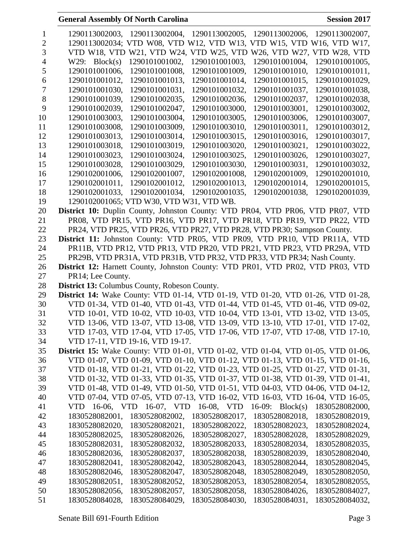| 1              | 1290113002003, 1290113002004, 1290113002005, 1290113002006, 1290113002007,                                                                                                       |
|----------------|----------------------------------------------------------------------------------------------------------------------------------------------------------------------------------|
| $\overline{2}$ | 1290113002034; VTD W08, VTD W12, VTD W13, VTD W15, VTD W16, VTD W17,                                                                                                             |
| 3              | VTD W18, VTD W21, VTD W24, VTD W25, VTD W26, VTD W27, VTD W28, VTD                                                                                                               |
| 4              | 1290101001002,<br>W29: Block(s)<br>1290101001003,<br>1290101001004,<br>1290101001005,                                                                                            |
| 5              | 1290101001006,<br>1290101001008,<br>1290101001009,<br>1290101001010,<br>1290101001011,                                                                                           |
| 6              | 1290101001014,<br>1290101001015,<br>1290101001012,<br>1290101001013,<br>1290101001029,                                                                                           |
| 7              | 1290101001030,<br>1290101001031,<br>1290101001032,<br>1290101001037,<br>1290101001038,                                                                                           |
| 8              | 1290101001039,<br>1290101002035.<br>1290101002036,<br>1290101002037,<br>1290101002038,                                                                                           |
| 9              | 1290101002039,<br>1290101002047,<br>1290101003000,<br>1290101003001,<br>1290101003002,                                                                                           |
| 10             | 1290101003003,<br>1290101003004,<br>1290101003005,<br>1290101003006,<br>1290101003007,                                                                                           |
| 11             | 1290101003008,<br>1290101003009.<br>1290101003010.<br>1290101003011,<br>1290101003012,                                                                                           |
| 12             | 1290101003013,<br>1290101003014,<br>1290101003015,<br>1290101003016,<br>1290101003017,                                                                                           |
| 13             | 1290101003018,<br>1290101003019,<br>1290101003020,<br>1290101003021,<br>1290101003022,                                                                                           |
| 14             | 1290101003024,<br>1290101003023,<br>1290101003025,<br>1290101003026,<br>1290101003027,                                                                                           |
| 15             | 1290101003028,<br>1290101003029,<br>1290101003030,<br>1290101003031,<br>1290101003032,                                                                                           |
| 16             | 1290102001006,<br>1290102001007,<br>1290102001008,<br>1290102001009,<br>1290102001010,                                                                                           |
|                | 1290102001011.                                                                                                                                                                   |
| 17             | 1290102001014,<br>1290102001012,<br>1290102001013,<br>1290102001015,                                                                                                             |
| 18             | 1290102001033.<br>1290102001034,<br>1290102001038,<br>1290102001035,<br>1290102001039,                                                                                           |
| 19             | 1290102001065; VTD W30, VTD W31, VTD WB.                                                                                                                                         |
| 20             | District 10: Duplin County, Johnston County: VTD PR04, VTD PR06, VTD PR07, VTD                                                                                                   |
| 21             | PR08, VTD PR15, VTD PR16, VTD PR17, VTD PR18, VTD PR19, VTD PR22, VTD                                                                                                            |
| 22             | PR24, VTD PR25, VTD PR26, VTD PR27, VTD PR28, VTD PR30; Sampson County.                                                                                                          |
| 23             | District 11: Johnston County: VTD PR05, VTD PR09, VTD PR10, VTD PR11A, VTD                                                                                                       |
| 24             | PR11B, VTD PR12, VTD PR13, VTD PR20, VTD PR21, VTD PR23, VTD PR29A, VTD                                                                                                          |
| 25             | PR29B, VTD PR31A, VTD PR31B, VTD PR32, VTD PR33, VTD PR34; Nash County.                                                                                                          |
| 26             | District 12: Harnett County, Johnston County: VTD PR01, VTD PR02, VTD PR03, VTD                                                                                                  |
| 27             | PR14; Lee County.                                                                                                                                                                |
| 28             | District 13: Columbus County, Robeson County.                                                                                                                                    |
| 29             | <b>District 14:</b> Wake County: VTD 01-14, VTD 01-19, VTD 01-20, VTD 01-26, VTD 01-28,                                                                                          |
| 30             | VTD 01-34, VTD 01-40, VTD 01-43, VTD 01-44, VTD 01-45, VTD 01-46, VTD 09-02,                                                                                                     |
| 31             | VTD 10-01, VTD 10-02, VTD 10-03, VTD 10-04, VTD 13-01, VTD 13-02, VTD 13-05,                                                                                                     |
| 32             | VTD 13-06, VTD 13-07, VTD 13-08, VTD 13-09, VTD 13-10, VTD 17-01, VTD 17-02,                                                                                                     |
| 33             | VTD 17-03, VTD 17-04, VTD 17-05, VTD 17-06, VTD 17-07, VTD 17-08, VTD 17-10,                                                                                                     |
| 34             | VTD 17-11, VTD 19-16, VTD 19-17.                                                                                                                                                 |
| 35             | <b>District 15:</b> Wake County: VTD 01-01, VTD 01-02, VTD 01-04, VTD 01-05, VTD 01-06,                                                                                          |
| 36             | VTD 01-07, VTD 01-09, VTD 01-10, VTD 01-12, VTD 01-13, VTD 01-15, VTD 01-16,                                                                                                     |
| 37             | VTD 01-18, VTD 01-21, VTD 01-22, VTD 01-23, VTD 01-25, VTD 01-27, VTD 01-31,                                                                                                     |
| 38             | VTD 01-32, VTD 01-33, VTD 01-35, VTD 01-37, VTD 01-38, VTD 01-39, VTD 01-41,                                                                                                     |
| 39             | VTD 01-48, VTD 01-49, VTD 01-50, VTD 01-51, VTD 04-03, VTD 04-06, VTD 04-12,                                                                                                     |
| 40             | VTD 07-04, VTD 07-05, VTD 07-13, VTD 16-02, VTD 16-03, VTD 16-04, VTD 16-05,                                                                                                     |
| 41             | VTD 16-06, VTD 16-07, VTD 16-08, VTD 16-09: Block(s)<br>1830528082000,                                                                                                           |
| 42             | 1830528082001,<br>1830528082002,<br>1830528082017,<br>1830528082018,<br>1830528082019,                                                                                           |
| 43             | 1830528082021,<br>1830528082020,<br>1830528082022,<br>1830528082023,<br>1830528082024,                                                                                           |
| 44             | 1830528082025,<br>1830528082026,<br>1830528082027,<br>1830528082028,<br>1830528082029,                                                                                           |
| 45             | 1830528082031,<br>1830528082032,<br>1830528082033,<br>1830528082034,<br>1830528082035,                                                                                           |
| 46             | 1830528082036,<br>1830528082037,<br>1830528082038,<br>1830528082039,<br>1830528082040,                                                                                           |
| 47             | 1830528082041,<br>1830528082042,<br>1830528082045,<br>1830528082043,<br>1830528082044,                                                                                           |
| 48             | 1830528082046,<br>1830528082047,<br>1830528082048,<br>1830528082049,<br>1830528082050,                                                                                           |
| 49             |                                                                                                                                                                                  |
|                |                                                                                                                                                                                  |
|                | 1830528082051,<br>1830528082052,<br>1830528082053,<br>1830528082054,<br>1830528082055,                                                                                           |
| 50<br>51       | 1830528082056,<br>1830528082057,<br>1830528082058,<br>1830528084026,<br>1830528084027,<br>1830528084028,<br>1830528084029,<br>1830528084030,<br>1830528084031,<br>1830528084032, |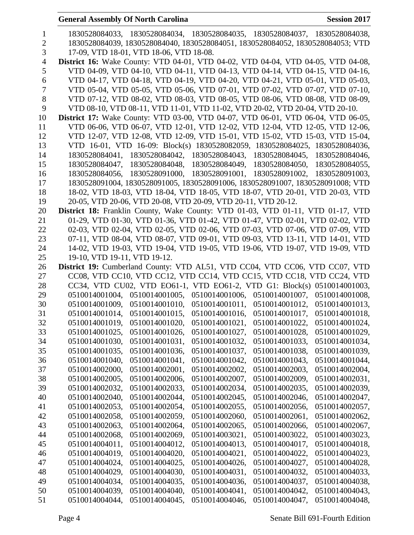| $\mathbf{1}$   |                                                               | 1830528084033, 1830528084034, 1830528084035, 1830528084037, 1830528084038,              |
|----------------|---------------------------------------------------------------|-----------------------------------------------------------------------------------------|
| $\overline{2}$ |                                                               | 1830528084039, 1830528084040, 1830528084051, 1830528084052, 1830528084053; VTD          |
| 3              | 17-09, VTD 18-01, VTD 18-06, VTD 18-08.                       |                                                                                         |
| $\overline{4}$ |                                                               | <b>District 16:</b> Wake County: VTD 04-01, VTD 04-02, VTD 04-04, VTD 04-05, VTD 04-08, |
| 5              |                                                               | VTD 04-09, VTD 04-10, VTD 04-11, VTD 04-13, VTD 04-14, VTD 04-15, VTD 04-16,            |
| 6              |                                                               | VTD 04-17, VTD 04-18, VTD 04-19, VTD 04-20, VTD 04-21, VTD 05-01, VTD 05-03,            |
| $\overline{7}$ |                                                               | VTD 05-04, VTD 05-05, VTD 05-06, VTD 07-01, VTD 07-02, VTD 07-07, VTD 07-10,            |
| 8              |                                                               | VTD 07-12, VTD 08-02, VTD 08-03, VTD 08-05, VTD 08-06, VTD 08-08, VTD 08-09,            |
| 9              |                                                               | VTD 08-10, VTD 08-11, VTD 11-01, VTD 11-02, VTD 20-02, VTD 20-04, VTD 20-10.            |
| 10             |                                                               | District 17: Wake County: VTD 03-00, VTD 04-07, VTD 06-01, VTD 06-04, VTD 06-05,        |
| 11             |                                                               | VTD 06-06, VTD 06-07, VTD 12-01, VTD 12-02, VTD 12-04, VTD 12-05, VTD 12-06,            |
| 12             |                                                               | VTD 12-07, VTD 12-08, VTD 12-09, VTD 15-01, VTD 15-02, VTD 15-03, VTD 15-04,            |
| 13             |                                                               | VTD 16-01, VTD 16-09: Block(s) 1830528082059, 1830528084025, 1830528084036,             |
| 14             |                                                               | 1830528084041, 1830528084042, 1830528084043, 1830528084045, 1830528084046,              |
| 15             |                                                               | 1830528084047, 1830528084048, 1830528084049, 1830528084050, 1830528084055,              |
| 16             |                                                               | 1830528084056, 1830528091000, 1830528091001, 1830528091002, 1830528091003,              |
| 17             |                                                               | 1830528091004, 1830528091005, 1830528091006, 1830528091007, 1830528091008; VTD          |
| 18             |                                                               | 18-02, VTD 18-03, VTD 18-04, VTD 18-05, VTD 18-07, VTD 20-01, VTD 20-03, VTD            |
| 19             | 20-05, VTD 20-06, VTD 20-08, VTD 20-09, VTD 20-11, VTD 20-12. |                                                                                         |
| 20             |                                                               | District 18: Franklin County, Wake County: VTD 01-03, VTD 01-11, VTD 01-17, VTD         |
| 21             |                                                               | 01-29, VTD 01-30, VTD 01-36, VTD 01-42, VTD 01-47, VTD 02-01, VTD 02-02, VTD            |
| 22             |                                                               | 02-03, VTD 02-04, VTD 02-05, VTD 02-06, VTD 07-03, VTD 07-06, VTD 07-09, VTD            |
| 23             |                                                               | 07-11, VTD 08-04, VTD 08-07, VTD 09-01, VTD 09-03, VTD 13-11, VTD 14-01, VTD            |
| 24             |                                                               | 14-02, VTD 19-03, VTD 19-04, VTD 19-05, VTD 19-06, VTD 19-07, VTD 19-09, VTD            |
| 25             | 19-10, VTD 19-11, VTD 19-12.                                  |                                                                                         |
| 26             |                                                               | District 19: Cumberland County: VTD AL51, VTD CC04, VTD CC06, VTD CC07, VTD             |
| 27             |                                                               | CC08, VTD CC10, VTD CC12, VTD CC14, VTD CC15, VTD CC18, VTD CC24, VTD                   |
| 28             |                                                               | CC34, VTD CU02, VTD EO61-1, VTD EO61-2, VTD G1: Block(s) 0510014001003,                 |
| 29             | 0510014001004,                                                | 0510014001005, 0510014001006, 0510014001007, 0510014001008,                             |
| 30             |                                                               | 0510014001009, 0510014001010, 0510014001011, 0510014001012, 0510014001013,              |
| 31             | 0510014001014,                                                | 0510014001015, 0510014001016, 0510014001017,<br>0510014001018,                          |
| 32             | 0510014001019,<br>0510014001020,                              | 0510014001021,<br>0510014001022,<br>0510014001024,                                      |
| 33             | 0510014001025,<br>0510014001026,                              | 0510014001027, 0510014001028,<br>0510014001029,                                         |
| 34             | 0510014001031,<br>0510014001030,                              | 0510014001032,<br>0510014001033,<br>0510014001034,                                      |
| 35             | 0510014001035,<br>0510014001036,                              | 0510014001037,<br>0510014001038,<br>0510014001039,                                      |
| 36             | 0510014001040,<br>0510014001041,                              | 0510014001042,<br>0510014001043,<br>0510014001044,                                      |
| 37             | 0510014002000,<br>0510014002001,                              | 0510014002002,<br>0510014002003,<br>0510014002004,                                      |
| 38             | 0510014002005,<br>0510014002006,                              | 0510014002007,<br>0510014002009,<br>0510014002031,                                      |
| 39             | 0510014002032,<br>0510014002033,                              | 0510014002034,<br>0510014002035,<br>0510014002039,                                      |
| 40             | 0510014002040,<br>0510014002044,                              | 0510014002045,<br>0510014002046,<br>0510014002047,                                      |
| 41             | 0510014002053,<br>0510014002054,                              | 0510014002055,<br>0510014002056,<br>0510014002057,                                      |
| 42             | 0510014002058,<br>0510014002059,                              | 0510014002060,<br>0510014002061,<br>0510014002062,                                      |
| 43             | 0510014002063,<br>0510014002064,                              | 0510014002065,<br>0510014002066,<br>0510014002067,                                      |
| 44             | 0510014002068,<br>0510014002069,                              | 0510014003021,<br>0510014003022,<br>0510014003023,                                      |
| 45             | 0510014004011,<br>0510014004012,                              | 0510014004013,<br>0510014004017,<br>0510014004018,                                      |
| 46             | 0510014004019,<br>0510014004020,                              | 0510014004021,<br>0510014004022,<br>0510014004023,                                      |
| 47             | 0510014004024,<br>0510014004025,                              | 0510014004026,<br>0510014004027,<br>0510014004028,                                      |
| 48             | 0510014004029,<br>0510014004030,                              | 0510014004031,<br>0510014004032,<br>0510014004033,                                      |
| 49             | 0510014004034,<br>0510014004035,                              | 0510014004036,<br>0510014004037,<br>0510014004038,                                      |
| 50             | 0510014004039,<br>0510014004040,                              | 0510014004041,<br>0510014004043,<br>0510014004042,                                      |
| 51             | 0510014004044,<br>0510014004045,                              | 0510014004046,<br>0510014004047,<br>0510014004048,                                      |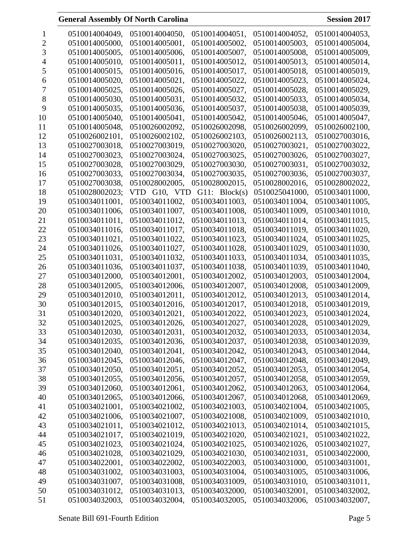|    | 0510014004049, | 0510014004050, | 0510014004051, | 0510014004052. | 0510014004053. |
|----|----------------|----------------|----------------|----------------|----------------|
| 2  | 0510014005000, | 0510014005001, | 0510014005002, | 0510014005003, | 0510014005004, |
| 3  | 0510014005005, | 0510014005006, | 0510014005007, | 0510014005008, | 0510014005009, |
|    | 0510014005010, | 0510014005011, | 0510014005012, | 0510014005013, | 0510014005014, |
| 5  | 0510014005015, | 0510014005016, | 0510014005017, | 0510014005018, | 0510014005019, |
| 6  | 0510014005020, | 0510014005021, | 0510014005022, | 0510014005023, | 0510014005024, |
| 7  | 0510014005025, | 0510014005026, | 0510014005027, | 0510014005028, | 0510014005029, |
| 8  | 0510014005030, | 0510014005031, | 0510014005032, | 0510014005033, | 0510014005034, |
| 9  | 0510014005035, | 0510014005036, | 0510014005037, | 0510014005038, | 0510014005039, |
| 10 | 0510014005040, | 0510014005041, | 0510014005042, | 0510014005046, | 0510014005047, |
| 11 | 0510014005048, | 0510026002092, | 0510026002098, | 0510026002099, | 0510026002100, |
| 12 | 0510026002101, | 0510026002102, | 0510026002103, | 0510026002113, | 0510027003016, |
| 13 | 0510027003018, | 0510027003019, | 0510027003020, | 0510027003021, | 0510027003022, |
| 14 | 0510027003023, | 0510027003024, | 0510027003025, | 0510027003026, | 0510027003027, |
| 15 | 0510027003028, | 0510027003029, | 0510027003030, | 0510027003031, | 0510027003032. |
| 16 | 0510027003033, | 0510027003034, | 0510027003035, | 0510027003036, | 0510027003037. |
| 17 | 0510027003038, | 0510028002005, | 0510028002015, | 0510028002016, | 0510028002022, |
| 18 | 0510028002023; | VTD G10. VTD   | G11: Block(s)  | 0510025041000, | 0510034011000, |
| 19 | 0510034011001, | 0510034011002, | 0510034011003. | 0510034011004, | 0510034011005, |
| 20 | 0510034011006, | 0510034011007, | 0510034011008, | 0510034011009, | 0510034011010, |
| 21 | 0510034011011, | 0510034011012, | 0510034011013, | 0510034011014, | 0510034011015, |
| 22 | 0510034011016, | 0510034011017, | 0510034011018, | 0510034011019, | 0510034011020, |
| 23 | 0510034011021, | 0510034011022, | 0510034011023, | 0510034011024, | 0510034011025, |
| 24 | 0510034011026, | 0510034011027, | 0510034011028, | 0510034011029, | 0510034011030, |
| 25 | 0510034011031, | 0510034011032, | 0510034011033, | 0510034011034, | 0510034011035, |
| 26 | 0510034011036, | 0510034011037, | 0510034011038, | 0510034011039, | 0510034011040, |
| 27 | 0510034012000, | 0510034012001, | 0510034012002, | 0510034012003, | 0510034012004, |
| 28 | 0510034012005, | 0510034012006, | 0510034012007, | 0510034012008, | 0510034012009, |
| 29 | 0510034012010, | 0510034012011, | 0510034012012, | 0510034012013, | 0510034012014, |
| 30 | 0510034012015, | 0510034012016, | 0510034012017, | 0510034012018, | 0510034012019, |
| 31 | 0510034012020, | 0510034012021, | 0510034012022, | 0510034012023, | 0510034012024, |
| 32 | 0510034012025, | 0510034012026, | 0510034012027, | 0510034012028, | 0510034012029, |
| 33 | 0510034012030, | 0510034012031, | 0510034012032, | 0510034012033, | 0510034012034, |
| 34 | 0510034012035, | 0510034012036, | 0510034012037, | 0510034012038, | 0510034012039, |
| 35 | 0510034012040, | 0510034012041, | 0510034012042, | 0510034012043, | 0510034012044, |
| 36 | 0510034012045, | 0510034012046, | 0510034012047, | 0510034012048, | 0510034012049, |
| 37 | 0510034012050, | 0510034012051, | 0510034012052, | 0510034012053, | 0510034012054, |
| 38 | 0510034012055, | 0510034012056, | 0510034012057, | 0510034012058, | 0510034012059, |
| 39 | 0510034012060, | 0510034012061, | 0510034012062, | 0510034012063, | 0510034012064, |
| 40 | 0510034012065, | 0510034012066, | 0510034012067, | 0510034012068, | 0510034012069, |
| 41 | 0510034021001, | 0510034021002, | 0510034021003, | 0510034021004, | 0510034021005, |
| 42 | 0510034021006, | 0510034021007, | 0510034021008, | 0510034021009, | 0510034021010, |
| 43 | 0510034021011, | 0510034021012, | 0510034021013. | 0510034021014, | 0510034021015, |
| 44 | 0510034021017, | 0510034021019, | 0510034021020, | 0510034021021, | 0510034021022, |
| 45 | 0510034021023, | 0510034021024, | 0510034021025, | 0510034021026, | 0510034021027, |
| 46 | 0510034021028, | 0510034021029, | 0510034021030, | 0510034021031, | 0510034022000, |
| 47 | 0510034022001, | 0510034022002, | 0510034022003, | 0510034031000, | 0510034031001, |
| 48 | 0510034031002, | 0510034031003, | 0510034031004, | 0510034031005, | 0510034031006, |
| 49 | 0510034031007, | 0510034031008, | 0510034031009, | 0510034031010, | 0510034031011, |
| 50 | 0510034031012, | 0510034031013, | 0510034032000, | 0510034032001, | 0510034032002, |
| 51 | 0510034032003, | 0510034032004, | 0510034032005, | 0510034032006, | 0510034032007, |
|    |                |                |                |                |                |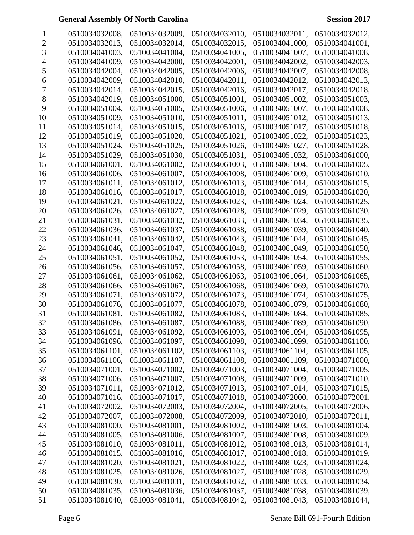|    | 0510034032008, | 0510034032009, | 0510034032010, | 0510034032011, | 0510034032012, |
|----|----------------|----------------|----------------|----------------|----------------|
| 2  | 0510034032013, | 0510034032014, | 0510034032015, | 0510034041000, | 0510034041001, |
| 3  | 0510034041003, | 0510034041004, | 0510034041005, | 0510034041007, | 0510034041008, |
|    | 0510034041009, | 0510034042000, | 0510034042001, | 0510034042002, | 0510034042003, |
| C  | 0510034042004, | 0510034042005, | 0510034042006, | 0510034042007, | 0510034042008, |
| 6  | 0510034042009, | 0510034042010, | 0510034042011, | 0510034042012, | 0510034042013, |
| 7  | 0510034042014, | 0510034042015, | 0510034042016, | 0510034042017, | 0510034042018, |
| 8  | 0510034042019, | 0510034051000, | 0510034051001, | 0510034051002, | 0510034051003, |
| 9  | 0510034051004, | 0510034051005, | 0510034051006, | 0510034051007, | 0510034051008, |
| 10 | 0510034051009, | 0510034051010, | 0510034051011, | 0510034051012, | 0510034051013, |
| 11 | 0510034051014, | 0510034051015, | 0510034051016, | 0510034051017, | 0510034051018, |
| 12 | 0510034051019, | 0510034051020, | 0510034051021, | 0510034051022, | 0510034051023, |
| 13 | 0510034051024, | 0510034051025, | 0510034051026, | 0510034051027, | 0510034051028, |
| 14 | 0510034051029, | 0510034051030, | 0510034051031, | 0510034051032, | 0510034061000, |
| 15 | 0510034061001, | 0510034061002, | 0510034061003, | 0510034061004, | 0510034061005, |
| 16 | 0510034061006, | 0510034061007, | 0510034061008. | 0510034061009, | 0510034061010. |
| 17 | 0510034061011, | 0510034061012, | 0510034061013, | 0510034061014, | 0510034061015, |
| 18 | 0510034061016, | 0510034061017, | 0510034061018, | 0510034061019. | 0510034061020, |
| 19 | 0510034061021, | 0510034061022, | 0510034061023, | 0510034061024, | 0510034061025. |
| 20 | 0510034061026, | 0510034061027, | 0510034061028, | 0510034061029, | 0510034061030, |
| 21 | 0510034061031, | 0510034061032, | 0510034061033, | 0510034061034, | 0510034061035, |
| 22 | 0510034061036, | 0510034061037, | 0510034061038, | 0510034061039, | 0510034061040, |
| 23 | 0510034061041, | 0510034061042, | 0510034061043, | 0510034061044, | 0510034061045, |
| 24 | 0510034061046, | 0510034061047, | 0510034061048, | 0510034061049, | 0510034061050, |
| 25 | 0510034061051, | 0510034061052, | 0510034061053, | 0510034061054, | 0510034061055, |
| 26 | 0510034061056, | 0510034061057, | 0510034061058, | 0510034061059, | 0510034061060, |
| 27 | 0510034061061, | 0510034061062, | 0510034061063, | 0510034061064, | 0510034061065, |
| 28 | 0510034061066, | 0510034061067, | 0510034061068, | 0510034061069, | 0510034061070, |
| 29 | 0510034061071, | 0510034061072, | 0510034061073, | 0510034061074, | 0510034061075. |
| 30 | 0510034061076, | 0510034061077, | 0510034061078, | 0510034061079, | 0510034061080, |
| 31 | 0510034061081, | 0510034061082, | 0510034061083, | 0510034061084, | 0510034061085, |
| 32 | 0510034061086, | 0510034061087, | 0510034061088, | 0510034061089, | 0510034061090, |
| 33 | 0510034061091, | 0510034061092, | 0510034061093, | 0510034061094, | 0510034061095, |
| 34 | 0510034061096, | 0510034061097, | 0510034061098, | 0510034061099, | 0510034061100, |
| 35 | 0510034061101, | 0510034061102, | 0510034061103, | 0510034061104, | 0510034061105, |
| 36 | 0510034061106, | 0510034061107, | 0510034061108, | 0510034061109, | 0510034071000, |
| 37 | 0510034071001, | 0510034071002, | 0510034071003, | 0510034071004, | 0510034071005, |
| 38 | 0510034071006, | 0510034071007, | 0510034071008, | 0510034071009, | 0510034071010, |
| 39 | 0510034071011, | 0510034071012, | 0510034071013, | 0510034071014, | 0510034071015, |
| 40 | 0510034071016, | 0510034071017, | 0510034071018, | 0510034072000, | 0510034072001, |
| 41 | 0510034072002, | 0510034072003, | 0510034072004, | 0510034072005, | 0510034072006, |
| 42 | 0510034072007, | 0510034072008, | 0510034072009, | 0510034072010, | 0510034072011, |
| 43 | 0510034081000, | 0510034081001, | 0510034081002, | 0510034081003, | 0510034081004, |
| 44 | 0510034081005, | 0510034081006, | 0510034081007, | 0510034081008, | 0510034081009, |
| 45 | 0510034081010, | 0510034081011, | 0510034081012, | 0510034081013, | 0510034081014, |
| 46 | 0510034081015, | 0510034081016, | 0510034081017, | 0510034081018, | 0510034081019, |
| 47 | 0510034081020, | 0510034081021, | 0510034081022, | 0510034081023, | 0510034081024, |
| 48 | 0510034081025, | 0510034081026, | 0510034081027, | 0510034081028, | 0510034081029, |
| 49 | 0510034081030, | 0510034081031, | 0510034081032, | 0510034081033, | 0510034081034, |
| 50 | 0510034081035, | 0510034081036, | 0510034081037, | 0510034081038, | 0510034081039, |
| 51 | 0510034081040, | 0510034081041, | 0510034081042, | 0510034081043, | 0510034081044, |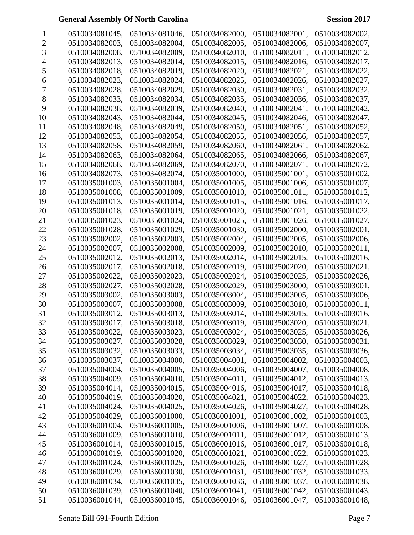|          | 0510034081045, | 0510034081046, | 0510034082000, | 0510034082001, | 0510034082002. |
|----------|----------------|----------------|----------------|----------------|----------------|
| 2        | 0510034082003, | 0510034082004, | 0510034082005, | 0510034082006, | 0510034082007, |
| 3        | 0510034082008. | 0510034082009, | 0510034082010, | 0510034082011, | 0510034082012, |
|          | 0510034082013, | 0510034082014, | 0510034082015, | 0510034082016, | 0510034082017, |
| 5        | 0510034082018, | 0510034082019, | 0510034082020, | 0510034082021, | 0510034082022, |
| 6        | 0510034082023, | 0510034082024, | 0510034082025, | 0510034082026, | 0510034082027, |
| $\prime$ | 0510034082028, | 0510034082029, | 0510034082030, | 0510034082031, | 0510034082032, |
| 8        | 0510034082033, | 0510034082034, | 0510034082035, | 0510034082036, | 0510034082037, |
| 9        | 0510034082038, | 0510034082039, | 0510034082040, | 0510034082041, | 0510034082042, |
| 10       | 0510034082043, | 0510034082044, | 0510034082045, | 0510034082046, | 0510034082047. |
| 11       | 0510034082048, | 0510034082049, | 0510034082050, | 0510034082051, | 0510034082052, |
| 12       | 0510034082053, | 0510034082054, | 0510034082055, | 0510034082056, | 0510034082057, |
| 13       | 0510034082058, | 0510034082059, | 0510034082060, | 0510034082061, | 0510034082062, |
| 14       | 0510034082063, | 0510034082064, | 0510034082065, | 0510034082066, | 0510034082067, |
| 15       | 0510034082068, | 0510034082069, | 0510034082070, | 0510034082071, | 0510034082072, |
| 16       | 0510034082073. | 0510034082074, | 0510035001000, | 0510035001001, | 0510035001002, |
| 17       | 0510035001003, | 0510035001004, | 0510035001005, | 0510035001006, | 0510035001007, |
| 18       | 0510035001008, | 0510035001009, | 0510035001010, | 0510035001011, | 0510035001012, |
| 19       | 0510035001013, | 0510035001014, | 0510035001015, | 0510035001016, | 0510035001017, |
| 20       | 0510035001018, | 0510035001019, | 0510035001020, | 0510035001021, | 0510035001022, |
| 21       | 0510035001023, | 0510035001024, | 0510035001025, | 0510035001026, | 0510035001027, |
| 22       | 0510035001028, | 0510035001029, | 0510035001030, | 0510035002000, | 0510035002001, |
| 23       | 0510035002002, | 0510035002003, | 0510035002004, | 0510035002005, | 0510035002006, |
| 24       | 0510035002007, | 0510035002008, | 0510035002009, | 0510035002010, | 0510035002011, |
| 25       | 0510035002012, | 0510035002013, | 0510035002014, | 0510035002015, | 0510035002016, |
|          | 0510035002017, |                |                |                |                |
| 26       |                | 0510035002018, | 0510035002019, | 0510035002020, | 0510035002021, |
| 27       | 0510035002022, | 0510035002023, | 0510035002024, | 0510035002025, | 0510035002026, |
| 28       | 0510035002027, | 0510035002028, | 0510035002029, | 0510035003000, | 0510035003001, |
| 29       | 0510035003002, | 0510035003003. | 0510035003004, | 0510035003005, | 0510035003006, |
| 30       | 0510035003007, | 0510035003008, | 0510035003009, | 0510035003010, | 0510035003011, |
| 31       | 0510035003012, | 0510035003013, | 0510035003014, | 0510035003015, | 0510035003016, |
| 32       | 0510035003017, | 0510035003018, | 0510035003019, | 0510035003020, | 0510035003021, |
| 33       | 0510035003022, | 0510035003023, | 0510035003024, | 0510035003025, | 0510035003026, |
| 34       | 0510035003027, | 0510035003028, | 0510035003029, | 0510035003030, | 0510035003031, |
| 35       | 0510035003032, | 0510035003033, | 0510035003034, | 0510035003035, | 0510035003036, |
| 36       | 0510035003037, | 0510035004000, | 0510035004001, | 0510035004002, | 0510035004003, |
| 37       | 0510035004004, | 0510035004005, | 0510035004006, | 0510035004007, | 0510035004008, |
| 38       | 0510035004009, | 0510035004010, | 0510035004011, | 0510035004012, | 0510035004013, |
| 39       | 0510035004014, | 0510035004015, | 0510035004016, | 0510035004017, | 0510035004018, |
| 40       | 0510035004019, | 0510035004020, | 0510035004021, | 0510035004022, | 0510035004023, |
| 41       | 0510035004024, | 0510035004025, | 0510035004026, | 0510035004027, | 0510035004028, |
| 42       | 0510035004029, | 0510036001000, | 0510036001001, | 0510036001002, | 0510036001003, |
| 43       | 0510036001004, | 0510036001005, | 0510036001006, | 0510036001007, | 0510036001008, |
| 44       | 0510036001009, | 0510036001010, | 0510036001011, | 0510036001012, | 0510036001013, |
| 45       | 0510036001014, | 0510036001015, | 0510036001016, | 0510036001017, | 0510036001018, |
| 46       | 0510036001019, | 0510036001020, | 0510036001021, | 0510036001022, | 0510036001023, |
| 47       | 0510036001024, | 0510036001025, | 0510036001026, | 0510036001027, | 0510036001028, |
| 48       | 0510036001029, | 0510036001030, | 0510036001031, | 0510036001032, | 0510036001033, |
| 49       | 0510036001034, | 0510036001035, | 0510036001036, | 0510036001037, | 0510036001038, |
| 50       | 0510036001039, | 0510036001040, | 0510036001041, | 0510036001042, | 0510036001043, |
| 51       | 0510036001044, | 0510036001045, | 0510036001046, | 0510036001047, | 0510036001048, |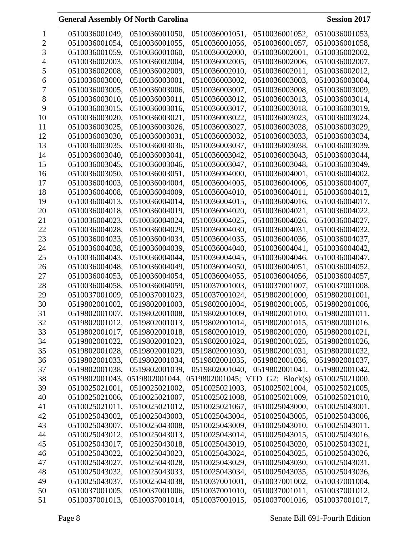|                | 0510036001049, | 0510036001050, | 0510036001051,                                 | 0510036001052, | 0510036001053, |
|----------------|----------------|----------------|------------------------------------------------|----------------|----------------|
|                | 0510036001054, | 0510036001055, | 0510036001056,                                 | 0510036001057, | 0510036001058, |
| 3              | 0510036001059, | 0510036001060. | 0510036002000,                                 | 0510036002001, | 0510036002002, |
| 4              | 0510036002003, | 0510036002004, | 0510036002005,                                 | 0510036002006, | 0510036002007, |
| C              | 0510036002008, | 0510036002009, | 0510036002010,                                 | 0510036002011, | 0510036002012, |
| 6              | 0510036003000, | 0510036003001, | 0510036003002,                                 | 0510036003003, | 0510036003004, |
| $\overline{1}$ | 0510036003005, | 0510036003006, | 0510036003007,                                 | 0510036003008, | 0510036003009, |
| 8              | 0510036003010, | 0510036003011, | 0510036003012,                                 | 0510036003013, | 0510036003014, |
| 9              | 0510036003015, | 0510036003016, | 0510036003017,                                 | 0510036003018, | 0510036003019, |
| 10             | 0510036003020, | 0510036003021, | 0510036003022,                                 | 0510036003023, | 0510036003024, |
| 11             | 0510036003025, | 0510036003026, | 0510036003027,                                 | 0510036003028, | 0510036003029, |
| 12             | 0510036003030, | 0510036003031, | 0510036003032,                                 | 0510036003033, | 0510036003034, |
| 13             | 0510036003035, | 0510036003036, | 0510036003037,                                 | 0510036003038, | 0510036003039, |
| 14             | 0510036003040, | 0510036003041, | 0510036003042,                                 | 0510036003043, | 0510036003044, |
| 15             | 0510036003045, | 0510036003046, | 0510036003047,                                 | 0510036003048, | 0510036003049, |
| 16             | 0510036003050, | 0510036003051, | 0510036004000,                                 | 0510036004001, | 0510036004002, |
| 17             | 0510036004003, | 0510036004004, | 0510036004005,                                 | 0510036004006, | 0510036004007, |
| 18             | 0510036004008, | 0510036004009, | 0510036004010,                                 | 0510036004011, | 0510036004012. |
| 19             | 0510036004013, | 0510036004014, | 0510036004015,                                 | 0510036004016, | 0510036004017, |
| 20             | 0510036004018, | 0510036004019, | 0510036004020,                                 | 0510036004021, | 0510036004022, |
| 21             | 0510036004023, | 0510036004024, | 0510036004025,                                 | 0510036004026, | 0510036004027, |
| 22             | 0510036004028, | 0510036004029, | 0510036004030,                                 | 0510036004031, | 0510036004032, |
| 23             | 0510036004033, | 0510036004034, | 0510036004035,                                 | 0510036004036, | 0510036004037, |
| 24             | 0510036004038, | 0510036004039, | 0510036004040,                                 | 0510036004041, | 0510036004042, |
| 25             | 0510036004043, | 0510036004044, | 0510036004045,                                 | 0510036004046, | 0510036004047, |
| 26             | 0510036004048, | 0510036004049, | 0510036004050,                                 | 0510036004051, | 0510036004052, |
| 27             | 0510036004053, | 0510036004054, | 0510036004055,                                 | 0510036004056, | 0510036004057, |
| 28             | 0510036004058, | 0510036004059, | 0510037001003,                                 | 0510037001007, | 0510037001008, |
| 29             | 0510037001009, | 0510037001023, | 0510037001024,                                 | 0519802001000, | 0519802001001, |
| 30             | 0519802001002, | 0519802001003, | 0519802001004,                                 | 0519802001005, | 0519802001006, |
| 31             | 0519802001007, | 0519802001008, | 0519802001009,                                 | 0519802001010, | 0519802001011, |
| 32             | 0519802001012, | 0519802001013. | 0519802001014,                                 | 0519802001015. | 0519802001016, |
| 33             | 0519802001017, | 0519802001018, | 0519802001019,                                 | 0519802001020, | 0519802001021, |
| 34             | 0519802001022, | 0519802001023, | 0519802001024,                                 | 0519802001025, | 0519802001026, |
| 35             | 0519802001028, | 0519802001029, | 0519802001030,                                 | 0519802001031, | 0519802001032, |
| 36             | 0519802001033, | 0519802001034, | 0519802001035,                                 | 0519802001036, | 0519802001037, |
| 37             | 0519802001038, | 0519802001039, | 0519802001040,                                 | 0519802001041, | 0519802001042, |
| 38             | 0519802001043, |                | 0519802001044, 0519802001045; VTD G2: Block(s) |                | 0510025021000, |
| 39             | 0510025021001, | 0510025021002, | 0510025021003,                                 | 0510025021004, | 0510025021005, |
| 40             | 0510025021006, | 0510025021007, | 0510025021008,                                 | 0510025021009, | 0510025021010, |
| 41             | 0510025021011, | 0510025021012, | 0510025021067,                                 | 0510025043000, | 0510025043001, |
| 42             | 0510025043002, | 0510025043003, | 0510025043004,                                 | 0510025043005, | 0510025043006, |
| 43             | 0510025043007, | 0510025043008, | 0510025043009,                                 | 0510025043010, | 0510025043011, |
| 44             | 0510025043012, | 0510025043013, | 0510025043014,                                 | 0510025043015, | 0510025043016, |
| 45             | 0510025043017, | 0510025043018, | 0510025043019,                                 | 0510025043020, | 0510025043021, |
| 46             | 0510025043022, | 0510025043023, | 0510025043024,                                 | 0510025043025, | 0510025043026, |
| 47             | 0510025043027, | 0510025043028, | 0510025043029,                                 | 0510025043030, | 0510025043031, |
| 48             | 0510025043032, | 0510025043033, | 0510025043034,                                 | 0510025043035, | 0510025043036, |
| 49             | 0510025043037, | 0510025043038, | 0510037001001,                                 | 0510037001002, | 0510037001004, |
| 50             | 0510037001005, | 0510037001006, | 0510037001010,                                 | 0510037001011, | 0510037001012, |
| 51             | 0510037001013, | 0510037001014, | 0510037001015,                                 | 0510037001016, | 0510037001017, |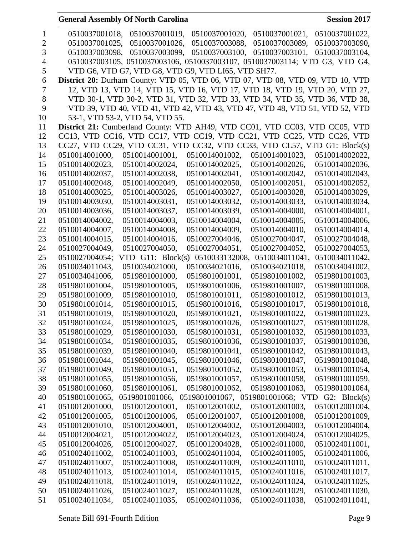|                |                | <b>General Assembly Of North Carolina</b> |                                                                                 |                | <b>Session 2017</b> |
|----------------|----------------|-------------------------------------------|---------------------------------------------------------------------------------|----------------|---------------------|
| 1              | 0510037001018, | 0510037001019,                            | 0510037001020,                                                                  | 0510037001021, | 0510037001022,      |
| $\overline{2}$ | 0510037001025, | 0510037001026,                            | 0510037003088,                                                                  | 0510037003089, | 0510037003090,      |
| 3              | 0510037003098, | 0510037003099.                            | 0510037003100.                                                                  | 0510037003101, | 0510037003104,      |
| 4              |                |                                           | 0510037003105, 0510037003106, 0510037003107, 0510037003114; VTD G3, VTD G4,     |                |                     |
| 5              |                |                                           | VTD G6, VTD G7, VTD G8, VTD G9, VTD LI65, VTD SH77.                             |                |                     |
| 6              |                |                                           | District 20: Durham County: VTD 05, VTD 06, VTD 07, VTD 08, VTD 09, VTD 10, VTD |                |                     |
| 7              |                |                                           | 12, VTD 13, VTD 14, VTD 15, VTD 16, VTD 17, VTD 18, VTD 19, VTD 20, VTD 27,     |                |                     |
| 8              |                |                                           | VTD 30-1, VTD 30-2, VTD 31, VTD 32, VTD 33, VTD 34, VTD 35, VTD 36, VTD 38,     |                |                     |
| 9              |                |                                           | VTD 39, VTD 40, VTD 41, VTD 42, VTD 43, VTD 47, VTD 48, VTD 51, VTD 52, VTD     |                |                     |
| 10             |                | 53-1, VTD 53-2, VTD 54, VTD 55.           |                                                                                 |                |                     |
| 11             |                |                                           | District 21: Cumberland County: VTD AH49, VTD CC01, VTD CC03, VTD CC05, VTD     |                |                     |
| 12             |                |                                           | CC13, VTD CC16, VTD CC17, VTD CC19, VTD CC21, VTD CC25, VTD CC26, VTD           |                |                     |
| 13             |                |                                           | CC27, VTD CC29, VTD CC31, VTD CC32, VTD CC33, VTD CL57, VTD G1: Block(s)        |                |                     |
| 14             | 0510014001000, | 0510014001001,                            | 0510014001002,                                                                  | 0510014001023, | 0510014002022,      |
| 15             | 0510014002023, | 0510014002024,                            | 0510014002025,                                                                  | 0510014002026. | 0510014002036,      |
| 16             | 0510014002037, | 0510014002038.                            | 0510014002041,                                                                  | 0510014002042, | 0510014002043,      |
| 17             | 0510014002048, | 0510014002049,                            | 0510014002050,                                                                  | 0510014002051, | 0510014002052,      |
| 18             | 0510014003025, | 0510014003026,                            | 0510014003027,                                                                  | 0510014003028, | 0510014003029,      |
| 19             | 0510014003030, | 0510014003031,                            | 0510014003032,                                                                  | 0510014003033, | 0510014003034,      |
| 20             | 0510014003036, | 0510014003037,                            | 0510014003039,                                                                  | 0510014004000, | 0510014004001,      |
| 21             | 0510014004002, | 0510014004003,                            | 0510014004004,                                                                  | 0510014004005, | 0510014004006,      |
| 22             | 0510014004007, | 0510014004008,                            | 0510014004009,                                                                  | 0510014004010, | 0510014004014,      |
| 23             | 0510014004015, | 0510014004016,                            | 0510027004046,                                                                  | 0510027004047, | 0510027004048,      |
| 24             | 0510027004049, | 0510027004050,                            | 0510027004051,                                                                  | 0510027004052, | 0510027004053,      |
| 25             | 0510027004054; | VTD $G11$ : Block(s)                      | 0510033132008,                                                                  | 0510034011041, | 0510034011042,      |
| 26             | 0510034011043, | 0510034021000,                            | 0510034021016,                                                                  | 0510034021018, | 0510034041002,      |
| 27             | 0510034041006, | 0519801001000,                            | 0519801001001,                                                                  | 0519801001002, | 0519801001003,      |
| 28             | 0519801001004, | 0519801001005,                            | 0519801001006,                                                                  | 0519801001007, | 0519801001008.      |
| 29             | 0519801001009, | 0519801001010,                            | 0519801001011,                                                                  | 0519801001012. | 0519801001013,      |
| 30             | 0519801001014, | 0519801001015,                            | 0519801001016,                                                                  | 0519801001017, | 0519801001018,      |
| 31             | 0519801001019, | 0519801001020,                            | 0519801001021,                                                                  | 0519801001022, | 0519801001023,      |
| 32             | 0519801001024, | 0519801001025,                            | 0519801001026,                                                                  | 0519801001027, | 0519801001028,      |
| 33             | 0519801001029, | 0519801001030,                            | 0519801001031,                                                                  | 0519801001032, | 0519801001033,      |
| 34             | 0519801001034, | 0519801001035,                            | 0519801001036,                                                                  | 0519801001037, | 0519801001038,      |
| 35             | 0519801001039, | 0519801001040,                            | 0519801001041,                                                                  | 0519801001042, | 0519801001043,      |
| 36             | 0519801001044, | 0519801001045,                            | 0519801001046,                                                                  | 0519801001047, | 0519801001048,      |
| 37             | 0519801001049, | 0519801001051,                            | 0519801001052,                                                                  | 0519801001053, | 0519801001054,      |
| 38             | 0519801001055, | 0519801001056,                            | 0519801001057,                                                                  | 0519801001058, | 0519801001059,      |
| 39             | 0519801001060, | 0519801001061,                            | 0519801001062.                                                                  | 0519801001063, | 0519801001064,      |
| 40             | 0519801001065, | 0519801001066,                            | 0519801001067, 0519801001068; VTD G2: Block(s)                                  |                |                     |
| 41             | 0510012001000, | 0510012001001,                            | 0510012001002,                                                                  | 0510012001003, | 0510012001004,      |
| 42             | 0510012001005, | 0510012001006,                            | 0510012001007,                                                                  | 0510012001008, | 0510012001009,      |
| 43             | 0510012001010, | 0510012004001,                            | 0510012004002,                                                                  | 0510012004003, | 0510012004004,      |
| 44             | 0510012004021, | 0510012004022,                            | 0510012004023,                                                                  | 0510012004024, | 0510012004025,      |
| 45             | 0510012004026, | 0510012004027,                            | 0510012004028,                                                                  | 0510024011000, | 0510024011001,      |
| 46             | 0510024011002, | 0510024011003,                            | 0510024011004,                                                                  | 0510024011005, | 0510024011006,      |
| 47             | 0510024011007, | 0510024011008,                            | 0510024011009,                                                                  | 0510024011010, | 0510024011011,      |
| 48             | 0510024011013, | 0510024011014,                            | 0510024011015,                                                                  | 0510024011016, | 0510024011017,      |
| 49             | 0510024011018, | 0510024011019,                            | 0510024011022,                                                                  | 0510024011024, | 0510024011025,      |
| 50             | 0510024011026, | 0510024011027,                            | 0510024011028,                                                                  | 0510024011029, | 0510024011030,      |
| 51             | 0510024011034, | 0510024011035,                            | 0510024011036,                                                                  | 0510024011038, | 0510024011041,      |

Senate Bill 691-Fourth Edition Page 9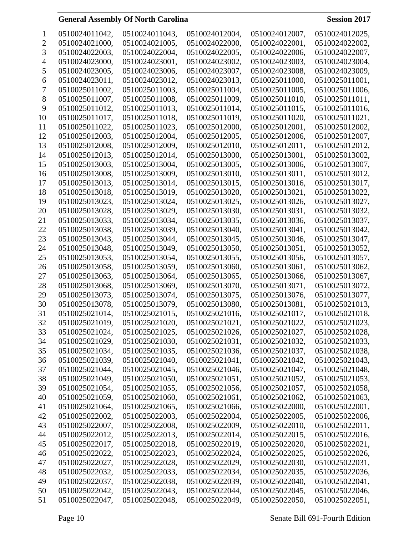| 1  | 0510024011042, | 0510024011043. | 0510024012004.                   | 0510024012007, | 0510024012025, |
|----|----------------|----------------|----------------------------------|----------------|----------------|
| 2  | 0510024021000, | 0510024021005, | 0510024022000,                   | 0510024022001, | 0510024022002, |
| 3  | 0510024022003, | 0510024022004, | 0510024022005,                   | 0510024022006, | 0510024022007, |
| 4  | 0510024023000, | 0510024023001, | 0510024023002,                   | 0510024023003, | 0510024023004, |
| 5  | 0510024023005, | 0510024023006, | 0510024023007,                   | 0510024023008, | 0510024023009, |
| 6  | 0510024023011, | 0510024023012, | 0510024023013,                   | 0510025011000, | 0510025011001, |
| 7  | 0510025011002, | 0510025011003, | 0510025011004,                   | 0510025011005, | 0510025011006, |
| 8  | 0510025011007, | 0510025011008, | 0510025011009,                   | 0510025011010, | 0510025011011, |
| 9  | 0510025011012, | 0510025011013, | 0510025011014,                   | 0510025011015, | 0510025011016, |
| 10 | 0510025011017, | 0510025011018, | 0510025011019,                   | 0510025011020, | 0510025011021, |
| 11 | 0510025011022, | 0510025011023, | 0510025012000,                   | 0510025012001, | 0510025012002, |
| 12 | 0510025012003, | 0510025012004, | 0510025012005,                   | 0510025012006, | 0510025012007, |
| 13 | 0510025012008, | 0510025012009, | 0510025012010,                   | 0510025012011, | 0510025012012, |
| 14 | 0510025012013, | 0510025012014, | 0510025013000,                   | 0510025013001, | 0510025013002, |
| 15 | 0510025013003, | 0510025013004, | 0510025013005,                   | 0510025013006, | 0510025013007, |
|    |                | 0510025013009, |                                  |                | 0510025013012, |
| 16 | 0510025013008, |                | 0510025013010,                   | 0510025013011, |                |
| 17 | 0510025013013, | 0510025013014, | 0510025013015,<br>0510025013020, | 0510025013016, | 0510025013017, |
| 18 | 0510025013018, | 0510025013019, |                                  | 0510025013021, | 0510025013022, |
| 19 | 0510025013023, | 0510025013024, | 0510025013025,                   | 0510025013026, | 0510025013027, |
| 20 | 0510025013028, | 0510025013029, | 0510025013030,                   | 0510025013031, | 0510025013032, |
| 21 | 0510025013033, | 0510025013034, | 0510025013035,                   | 0510025013036, | 0510025013037, |
| 22 | 0510025013038, | 0510025013039, | 0510025013040,                   | 0510025013041, | 0510025013042, |
| 23 | 0510025013043, | 0510025013044, | 0510025013045,                   | 0510025013046, | 0510025013047, |
| 24 | 0510025013048, | 0510025013049, | 0510025013050,                   | 0510025013051, | 0510025013052, |
| 25 | 0510025013053, | 0510025013054, | 0510025013055,                   | 0510025013056, | 0510025013057, |
| 26 | 0510025013058, | 0510025013059, | 0510025013060,                   | 0510025013061, | 0510025013062, |
| 27 | 0510025013063, | 0510025013064, | 0510025013065,                   | 0510025013066, | 0510025013067, |
| 28 | 0510025013068, | 0510025013069, | 0510025013070,                   | 0510025013071, | 0510025013072, |
| 29 | 0510025013073, | 0510025013074, | 0510025013075,                   | 0510025013076, | 0510025013077, |
| 30 | 0510025013078, | 0510025013079, | 0510025013080,                   | 0510025013081, | 0510025021013, |
| 31 | 0510025021014, | 0510025021015, | 0510025021016,                   | 0510025021017, | 0510025021018, |
| 32 | 0510025021019, | 0510025021020, | 0510025021021,                   | 0510025021022, | 0510025021023, |
| 33 | 0510025021024, | 0510025021025, | 0510025021026,                   | 0510025021027, | 0510025021028, |
| 34 | 0510025021029, | 0510025021030, | 0510025021031,                   | 0510025021032, | 0510025021033, |
| 35 | 0510025021034, | 0510025021035, | 0510025021036,                   | 0510025021037, | 0510025021038, |
| 36 | 0510025021039, | 0510025021040, | 0510025021041,                   | 0510025021042, | 0510025021043, |
| 37 | 0510025021044, | 0510025021045, | 0510025021046,                   | 0510025021047, | 0510025021048, |
| 38 | 0510025021049, | 0510025021050, | 0510025021051,                   | 0510025021052, | 0510025021053, |
| 39 | 0510025021054, | 0510025021055, | 0510025021056,                   | 0510025021057, | 0510025021058, |
| 40 | 0510025021059, | 0510025021060, | 0510025021061,                   | 0510025021062, | 0510025021063, |
| 41 | 0510025021064, | 0510025021065, | 0510025021066,                   | 0510025022000, | 0510025022001, |
| 42 | 0510025022002, | 0510025022003, | 0510025022004,                   | 0510025022005, | 0510025022006, |
| 43 | 0510025022007, | 0510025022008, | 0510025022009,                   | 0510025022010, | 0510025022011, |
| 44 | 0510025022012, | 0510025022013, | 0510025022014,                   | 0510025022015, | 0510025022016, |
| 45 | 0510025022017, | 0510025022018, | 0510025022019,                   | 0510025022020, | 0510025022021, |
| 46 | 0510025022022, | 0510025022023, | 0510025022024,                   | 0510025022025, | 0510025022026, |
| 47 | 0510025022027, | 0510025022028, | 0510025022029,                   | 0510025022030, | 0510025022031, |
| 48 | 0510025022032, | 0510025022033, | 0510025022034,                   | 0510025022035, | 0510025022036, |
| 49 | 0510025022037, | 0510025022038, | 0510025022039,                   | 0510025022040, | 0510025022041, |
| 50 | 0510025022042, | 0510025022043, | 0510025022044,                   | 0510025022045, | 0510025022046, |
| 51 | 0510025022047, | 0510025022048, | 0510025022049,                   | 0510025022050, | 0510025022051, |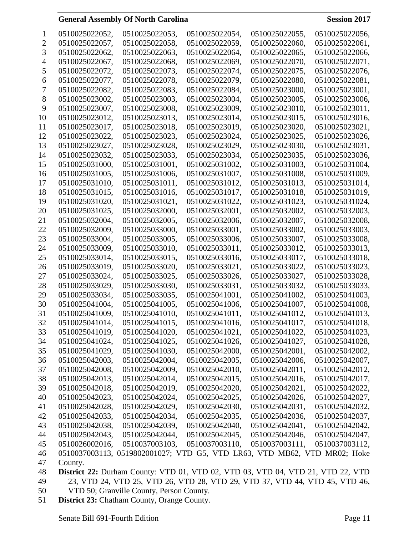|                | 0510025022052, | 0510025022053,                                                                  | 0510025022054, | 0510025022055, | 0510025022056, |
|----------------|----------------|---------------------------------------------------------------------------------|----------------|----------------|----------------|
| 2              | 0510025022057, | 0510025022058,                                                                  | 0510025022059, | 0510025022060, | 0510025022061, |
| 3              | 0510025022062, | 0510025022063,                                                                  | 0510025022064, | 0510025022065, | 0510025022066, |
| 4              | 0510025022067, | 0510025022068,                                                                  | 0510025022069, | 0510025022070, | 0510025022071, |
| 5              | 0510025022072, | 0510025022073,                                                                  | 0510025022074, | 0510025022075, | 0510025022076, |
| 6              | 0510025022077, | 0510025022078,                                                                  | 0510025022079, | 0510025022080, | 0510025022081, |
| $\overline{1}$ | 0510025022082, | 0510025022083,                                                                  | 0510025022084, | 0510025023000, | 0510025023001, |
| 8              | 0510025023002, | 0510025023003,                                                                  | 0510025023004, | 0510025023005, | 0510025023006, |
| 9              | 0510025023007, | 0510025023008,                                                                  | 0510025023009, | 0510025023010, | 0510025023011, |
| 10             | 0510025023012, | 0510025023013,                                                                  | 0510025023014, | 0510025023015, | 0510025023016. |
| 11             | 0510025023017, | 0510025023018,                                                                  | 0510025023019, | 0510025023020, | 0510025023021, |
| 12             | 0510025023022, | 0510025023023,                                                                  | 0510025023024, | 0510025023025, | 0510025023026, |
| 13             | 0510025023027, | 0510025023028,                                                                  | 0510025023029, | 0510025023030, | 0510025023031, |
| 14             | 0510025023032, | 0510025023033,                                                                  | 0510025023034, | 0510025023035, | 0510025023036, |
| 15             | 0510025031000, | 0510025031001,                                                                  | 0510025031002, | 0510025031003, | 0510025031004, |
| 16             | 0510025031005, | 0510025031006,                                                                  | 0510025031007, | 0510025031008, | 0510025031009, |
| 17             | 0510025031010, | 0510025031011,                                                                  | 0510025031012, | 0510025031013, | 0510025031014, |
| 18             | 0510025031015, | 0510025031016,                                                                  | 0510025031017, | 0510025031018, | 0510025031019, |
| 19             | 0510025031020, | 0510025031021,                                                                  | 0510025031022, | 0510025031023, | 0510025031024, |
| 20             | 0510025031025, | 0510025032000,                                                                  | 0510025032001, | 0510025032002, | 0510025032003, |
| 21             | 0510025032004, | 0510025032005,                                                                  | 0510025032006, | 0510025032007, | 0510025032008, |
| 22             | 0510025032009, | 0510025033000,                                                                  | 0510025033001, | 0510025033002, | 0510025033003, |
| 23             | 0510025033004, | 0510025033005,                                                                  | 0510025033006, | 0510025033007, | 0510025033008, |
| 24             | 0510025033009, | 0510025033010,                                                                  | 0510025033011, | 0510025033012, | 0510025033013, |
| 25             | 0510025033014, | 0510025033015,                                                                  | 0510025033016, | 0510025033017, | 0510025033018, |
| 26             | 0510025033019, | 0510025033020,                                                                  | 0510025033021, | 0510025033022, | 0510025033023, |
| 27             | 0510025033024, | 0510025033025,                                                                  | 0510025033026, | 0510025033027, | 0510025033028, |
| 28             | 0510025033029, | 0510025033030,                                                                  | 0510025033031, | 0510025033032, | 0510025033033, |
| 29             | 0510025033034, | 0510025033035,                                                                  | 0510025041001, | 0510025041002, | 0510025041003, |
| 30             | 0510025041004, | 0510025041005,                                                                  | 0510025041006, | 0510025041007, | 0510025041008, |
| 31             | 0510025041009, | 0510025041010,                                                                  | 0510025041011, | 0510025041012, | 0510025041013, |
| 32             | 0510025041014, | 0510025041015,                                                                  | 0510025041016, | 0510025041017, | 0510025041018, |
| 33             | 0510025041019, | 0510025041020,                                                                  | 0510025041021, | 0510025041022, | 0510025041023, |
| 34             | 0510025041024, | 0510025041025,                                                                  | 0510025041026, | 0510025041027, | 0510025041028, |
| 35             | 0510025041029, | 0510025041030,                                                                  | 0510025042000, | 0510025042001, | 0510025042002, |
| 36             | 0510025042003, | 0510025042004,                                                                  | 0510025042005, | 0510025042006, | 0510025042007, |
| 37             | 0510025042008, | 0510025042009,                                                                  | 0510025042010, | 0510025042011, | 0510025042012, |
| 38             | 0510025042013, | 0510025042014,                                                                  | 0510025042015, | 0510025042016, | 0510025042017, |
| 39             | 0510025042018, | 0510025042019,                                                                  | 0510025042020, | 0510025042021, | 0510025042022, |
| 40             | 0510025042023, | 0510025042024,                                                                  | 0510025042025, | 0510025042026, | 0510025042027, |
| 41             | 0510025042028, | 0510025042029,                                                                  | 0510025042030, | 0510025042031, | 0510025042032, |
| 42             | 0510025042033, | 0510025042034,                                                                  | 0510025042035, | 0510025042036, | 0510025042037, |
| 43             | 0510025042038, | 0510025042039,                                                                  | 0510025042040, | 0510025042041, | 0510025042042, |
| 44             | 0510025042043, | 0510025042044,                                                                  | 0510025042045, | 0510025042046, | 0510025042047, |
| 45             | 0510026002016, | 0510037003103,                                                                  | 0510037003110, | 0510037003111, | 0510037003112, |
| 46             |                | 0510037003113, 0519802001027; VTD G5, VTD LR63, VTD MB62, VTD MR02; Hoke        |                |                |                |
| 47             | County.        |                                                                                 |                |                |                |
| 48             |                | District 22: Durham County: VTD 01, VTD 02, VTD 03, VTD 04, VTD 21, VTD 22, VTD |                |                |                |
| 49             |                | 23, VTD 24, VTD 25, VTD 26, VTD 28, VTD 29, VTD 37, VTD 44, VTD 45, VTD 46,     |                |                |                |

- VTD 50; Granville County, Person County.
- **District 23:** Chatham County, Orange County.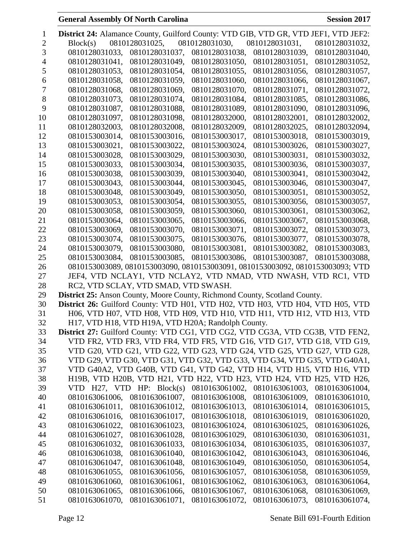| 1  | District 24: Alamance County, Guilford County: VTD GIB, VTD GR, VTD JEF1, VTD JEF2:    |
|----|----------------------------------------------------------------------------------------|
| 2  | 0810128031025,<br>0810128031030,<br>Block(s)<br>0810128031031,<br>0810128031032,       |
| 3  | 0810128031033,<br>0810128031037,<br>0810128031038,<br>0810128031039,<br>0810128031040, |
| 4  | 0810128031041,<br>0810128031050,<br>0810128031051,<br>0810128031049,<br>0810128031052, |
| 5  | 0810128031053,<br>0810128031055,<br>0810128031056,<br>0810128031054,<br>0810128031057, |
| 6  | 0810128031066,<br>0810128031058,<br>0810128031059,<br>0810128031060,<br>0810128031067, |
| 7  | 0810128031068,<br>0810128031069,<br>0810128031070,<br>0810128031071,<br>0810128031072, |
| 8  | 0810128031073,<br>0810128031074,<br>0810128031084,<br>0810128031085,<br>0810128031086, |
| 9  | 0810128031087,<br>0810128031088,<br>0810128031089,<br>0810128031090,<br>0810128031096, |
| 10 | 0810128031097,<br>0810128031098,<br>0810128032000,<br>0810128032001,<br>0810128032002, |
| 11 | 0810128032003,<br>0810128032008,<br>0810128032009,<br>0810128032025,<br>0810128032094, |
| 12 | 0810153003014,<br>0810153003016,<br>0810153003017,<br>0810153003018,<br>0810153003019, |
| 13 | 0810153003021,<br>0810153003022,<br>0810153003024,<br>0810153003026,<br>0810153003027, |
| 14 | 0810153003028,<br>0810153003029,<br>0810153003030,<br>0810153003031,<br>0810153003032, |
| 15 | 0810153003033,<br>0810153003034,<br>0810153003035,<br>0810153003036,<br>0810153003037, |
| 16 | 0810153003038.<br>0810153003039,<br>0810153003040,<br>0810153003041,<br>0810153003042. |
| 17 | 0810153003043,<br>0810153003044,<br>0810153003045.<br>0810153003046.<br>0810153003047, |
| 18 | 0810153003048,<br>0810153003049,<br>0810153003050,<br>0810153003051,<br>0810153003052, |
| 19 | 0810153003053,<br>0810153003054,<br>0810153003055,<br>0810153003056.<br>0810153003057. |
| 20 | 0810153003058,<br>0810153003059,<br>0810153003060,<br>0810153003061,<br>0810153003062, |
| 21 | 0810153003064,<br>0810153003065,<br>0810153003066,<br>0810153003067,<br>0810153003068, |
| 22 | 0810153003069,<br>0810153003070,<br>0810153003071,<br>0810153003072,<br>0810153003073, |
| 23 | 0810153003074,<br>0810153003075,<br>0810153003076,<br>0810153003077,<br>0810153003078, |
| 24 | 0810153003079,<br>0810153003080,<br>0810153003081,<br>0810153003082,<br>0810153003083, |
| 25 | 0810153003084,<br>0810153003085,<br>0810153003086,<br>0810153003087,<br>0810153003088, |
| 26 | 0810153003089, 0810153003090, 0810153003091, 0810153003092, 0810153003093; VTD         |
| 27 | JEF4, VTD NCLAY1, VTD NCLAY2, VTD NMAD, VTD NWASH, VTD RC1, VTD                        |
| 28 | RC2, VTD SCLAY, VTD SMAD, VTD SWASH.                                                   |
| 29 | District 25: Anson County, Moore County, Richmond County, Scotland County.             |
| 30 | District 26: Guilford County: VTD H01, VTD H02, VTD H03, VTD H04, VTD H05, VTD         |
| 31 | H06, VTD H07, VTD H08, VTD H09, VTD H10, VTD H11, VTD H12, VTD H13, VTD                |
| 32 | H17, VTD H18, VTD H19A, VTD H20A; Randolph County.                                     |
| 33 | <b>District 27:</b> Guilford County: VTD CG1, VTD CG2, VTD CG3A, VTD CG3B, VTD FEN2,   |
| 34 | VTD FR2, VTD FR3, VTD FR4, VTD FR5, VTD G16, VTD G17, VTD G18, VTD G19,                |
| 35 | VTD G20, VTD G21, VTD G22, VTD G23, VTD G24, VTD G25, VTD G27, VTD G28,                |
| 36 | VTD G29, VTD G30, VTD G31, VTD G32, VTD G33, VTD G34, VTD G35, VTD G40A1,              |
| 37 | VTD G40A2, VTD G40B, VTD G41, VTD G42, VTD H14, VTD H15, VTD H16, VTD                  |
| 38 | H19B, VTD H20B, VTD H21, VTD H22, VTD H23, VTD H24, VTD H25, VTD H26,                  |
| 39 | 0810163061002,<br>VTD $H27$ , VTD $HP$ : Block(s)<br>0810163061003,<br>0810163061004,  |
| 40 | 0810163061006,<br>0810163061007,<br>0810163061009,<br>0810163061010,<br>0810163061008, |
| 41 | 0810163061011,<br>0810163061012,<br>0810163061013,<br>0810163061014,<br>0810163061015, |
| 42 | 0810163061016,<br>0810163061017,<br>0810163061018,<br>0810163061019,<br>0810163061020, |
| 43 | 0810163061022,<br>0810163061023,<br>0810163061024,<br>0810163061025,<br>0810163061026, |
| 44 | 0810163061027,<br>0810163061028,<br>0810163061029,<br>0810163061030,<br>0810163061031, |
| 45 | 0810163061032,<br>0810163061033,<br>0810163061034,<br>0810163061035,<br>0810163061037, |
| 46 | 0810163061038,<br>0810163061040,<br>0810163061042,<br>0810163061043,<br>0810163061046, |
| 47 | 0810163061047,<br>0810163061048,<br>0810163061049,<br>0810163061050,<br>0810163061054, |
| 48 | 0810163061055,<br>0810163061056,<br>0810163061057,<br>0810163061058,<br>0810163061059, |
| 49 | 0810163061060,<br>0810163061061,<br>0810163061062,<br>0810163061063,<br>0810163061064, |
| 50 | 0810163061065,<br>0810163061066,<br>0810163061067,<br>0810163061069,<br>0810163061068, |
| 51 | 0810163061070,<br>0810163061071,<br>0810163061072,<br>0810163061073,<br>0810163061074, |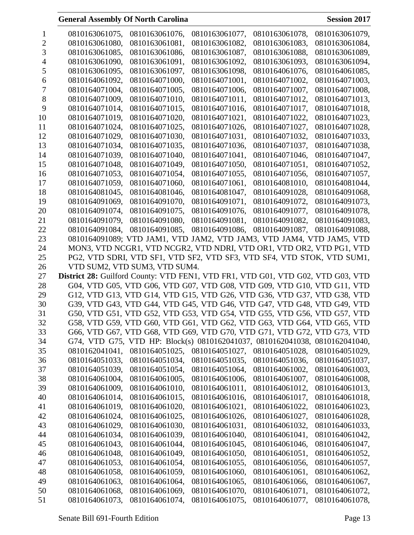| 1  | 0810163061075,                                                                  | 0810163061076,                                                              | 0810163061077,                                                         | 0810163061078, | 0810163061079, |
|----|---------------------------------------------------------------------------------|-----------------------------------------------------------------------------|------------------------------------------------------------------------|----------------|----------------|
| 2  | 0810163061080,                                                                  | 0810163061081,                                                              | 0810163061082,                                                         | 0810163061083, | 0810163061084, |
| 3  | 0810163061085.                                                                  | 0810163061086,                                                              | 0810163061087,                                                         | 0810163061088, | 0810163061089, |
| 4  | 0810163061090,                                                                  | 0810163061091,                                                              | 0810163061092,                                                         | 0810163061093, | 0810163061094, |
| 5  | 0810163061095,                                                                  | 0810163061097,                                                              | 0810163061098,                                                         | 0810164061076, | 0810164061085, |
| 6  | 0810164061092,                                                                  | 0810164071000,                                                              | 0810164071001,                                                         | 0810164071002, | 0810164071003, |
| 7  | 0810164071004,                                                                  | 0810164071005,                                                              | 0810164071006,                                                         | 0810164071007, | 0810164071008, |
| 8  | 0810164071009,                                                                  | 0810164071010,                                                              | 0810164071011,                                                         | 0810164071012, | 0810164071013, |
| 9  | 0810164071014,                                                                  | 0810164071015,                                                              | 0810164071016,                                                         | 0810164071017, | 0810164071018, |
| 10 | 0810164071019,                                                                  | 0810164071020,                                                              | 0810164071021.                                                         | 0810164071022, | 0810164071023, |
| 11 | 0810164071024,                                                                  | 0810164071025,                                                              | 0810164071026,                                                         | 0810164071027, | 0810164071028, |
| 12 | 0810164071029,                                                                  | 0810164071030,                                                              | 0810164071031,                                                         | 0810164071032, | 0810164071033, |
| 13 | 0810164071034,                                                                  | 0810164071035,                                                              | 0810164071036,                                                         | 0810164071037, | 0810164071038, |
| 14 | 0810164071039,                                                                  | 0810164071040,                                                              | 0810164071041,                                                         | 0810164071046, | 0810164071047, |
| 15 | 0810164071048,                                                                  | 0810164071049,                                                              | 0810164071050,                                                         | 0810164071051, | 0810164071052, |
| 16 | 0810164071053,                                                                  | 0810164071054,                                                              | 0810164071055,                                                         | 0810164071056, | 0810164071057, |
| 17 | 0810164071059.                                                                  | 0810164071060,                                                              | 0810164071061,                                                         | 0810164081010. | 0810164081044, |
| 18 |                                                                                 | 0810164081046.                                                              |                                                                        | 0810164091028. |                |
|    | 0810164081045,                                                                  |                                                                             | 0810164081047,                                                         |                | 0810164091068, |
| 19 | 0810164091069,                                                                  | 0810164091070,                                                              | 0810164091071,                                                         | 0810164091072, | 0810164091073. |
| 20 | 0810164091074,                                                                  | 0810164091075.                                                              | 0810164091076.                                                         | 0810164091077, | 0810164091078, |
| 21 | 0810164091079,                                                                  | 0810164091080,                                                              | 0810164091081,                                                         | 0810164091082, | 0810164091083, |
| 22 | 0810164091084,                                                                  | 0810164091085,                                                              | 0810164091086,                                                         | 0810164091087, | 0810164091088, |
| 23 |                                                                                 | 0810164091089; VTD JAM1, VTD JAM2, VTD JAM3, VTD JAM4, VTD JAM5, VTD        |                                                                        |                |                |
| 24 |                                                                                 | MON3, VTD NCGR1, VTD NCGR2, VTD NDRI, VTD OR1, VTD OR2, VTD PG1, VTD        |                                                                        |                |                |
| 25 |                                                                                 |                                                                             | PG2, VTD SDRI, VTD SF1, VTD SF2, VTD SF3, VTD SF4, VTD STOK, VTD SUM1, |                |                |
|    |                                                                                 |                                                                             |                                                                        |                |                |
| 26 |                                                                                 | VTD SUM2, VTD SUM3, VTD SUM4.                                               |                                                                        |                |                |
| 27 | District 28: Guilford County: VTD FEN1, VTD FR1, VTD G01, VTD G02, VTD G03, VTD |                                                                             |                                                                        |                |                |
| 28 |                                                                                 | G04, VTD G05, VTD G06, VTD G07, VTD G08, VTD G09, VTD G10, VTD G11, VTD     |                                                                        |                |                |
| 29 |                                                                                 | G12, VTD G13, VTD G14, VTD G15, VTD G26, VTD G36, VTD G37, VTD G38, VTD     |                                                                        |                |                |
| 30 |                                                                                 | G39, VTD G43, VTD G44, VTD G45, VTD G46, VTD G47, VTD G48, VTD G49, VTD     |                                                                        |                |                |
| 31 |                                                                                 | G50, VTD G51, VTD G52, VTD G53, VTD G54, VTD G55, VTD G56, VTD G57, VTD     |                                                                        |                |                |
| 32 |                                                                                 | G58, VTD G59, VTD G60, VTD G61, VTD G62, VTD G63, VTD G64, VTD G65, VTD     |                                                                        |                |                |
| 33 |                                                                                 | G66, VTD G67, VTD G68, VTD G69, VTD G70, VTD G71, VTD G72, VTD G73, VTD     |                                                                        |                |                |
| 34 |                                                                                 | G74, VTD G75, VTD HP: Block(s) 0810162041037, 0810162041038, 0810162041040, |                                                                        |                |                |
| 35 | 0810162041041,                                                                  | 0810164051025,                                                              | 0810164051027,                                                         | 0810164051028, | 0810164051029, |
| 36 | 0810164051033,                                                                  | 0810164051034,                                                              | 0810164051035,                                                         | 0810164051036, | 0810164051037, |
| 37 | 0810164051039,                                                                  | 0810164051054,                                                              | 0810164051064,                                                         | 0810164061002, | 0810164061003, |
| 38 | 0810164061004,                                                                  | 0810164061005,                                                              | 0810164061006,                                                         | 0810164061007, | 0810164061008, |
| 39 | 0810164061009,                                                                  | 0810164061010,                                                              | 0810164061011,                                                         | 0810164061012, | 0810164061013, |
| 40 | 0810164061014,                                                                  | 0810164061015,                                                              | 0810164061016,                                                         | 0810164061017, | 0810164061018, |
| 41 | 0810164061019,                                                                  | 0810164061020,                                                              | 0810164061021,                                                         | 0810164061022, | 0810164061023, |
| 42 | 0810164061024,                                                                  | 0810164061025,                                                              | 0810164061026,                                                         | 0810164061027, | 0810164061028, |
| 43 | 0810164061029,                                                                  | 0810164061030,                                                              | 0810164061031,                                                         | 0810164061032, | 0810164061033, |
| 44 | 0810164061034,                                                                  | 0810164061039,                                                              | 0810164061040,                                                         | 0810164061041, | 0810164061042, |
| 45 | 0810164061043,                                                                  | 0810164061044,                                                              | 0810164061045,                                                         | 0810164061046, | 0810164061047, |
| 46 | 0810164061048,                                                                  | 0810164061049,                                                              | 0810164061050,                                                         | 0810164061051, | 0810164061052, |
| 47 | 0810164061053,                                                                  | 0810164061054,                                                              | 0810164061055,                                                         | 0810164061056, | 0810164061057, |
| 48 | 0810164061058,                                                                  | 0810164061059,                                                              | 0810164061060,                                                         | 0810164061061, | 0810164061062, |
| 49 | 0810164061063,                                                                  | 0810164061064,                                                              | 0810164061065,                                                         | 0810164061066, | 0810164061067, |
| 50 | 0810164061068,                                                                  | 0810164061069,                                                              | 0810164061070,                                                         | 0810164061071, | 0810164061072, |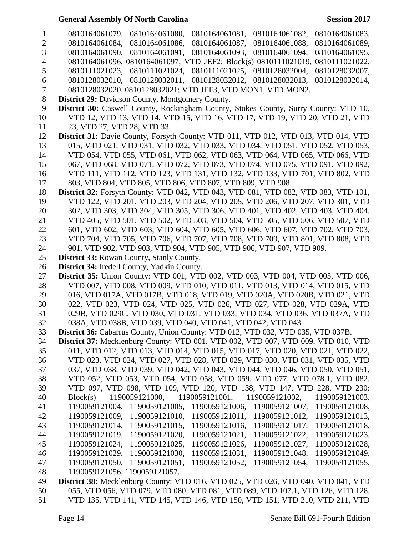| $\mathbf{1}$   | 0810164061079,<br>0810164061080,<br>0810164061081,<br>0810164061082,<br>0810164061083,      |
|----------------|---------------------------------------------------------------------------------------------|
| $\overline{2}$ | 0810164061086,<br>0810164061087,<br>0810164061088,<br>0810164061089,<br>0810164061084,      |
| 3              | 0810164061093,<br>0810164061090,<br>0810164061091,<br>0810164061094,<br>0810164061095,      |
| $\overline{4}$ | 0810164061096, 0810164061097; VTD JEF2: Block(s) 0810111021019, 0810111021022,              |
| 5              | 0810111021024, 0810111021025,<br>0810128032004,<br>0810128032007,<br>0810111021023,         |
| 6              | 0810128032010, 0810128032011,<br>0810128032012, 0810128032013,<br>0810128032014,            |
| $\tau$         | 0810128032020, 0810128032021; VTD JEF3, VTD MON1, VTD MON2.                                 |
| $8\,$          | <b>District 29:</b> Davidson County, Montgomery County.                                     |
| 9              | <b>District 30:</b> Caswell County, Rockingham County, Stokes County, Surry County: VTD 10, |
| 10             | VTD 12, VTD 13, VTD 14, VTD 15, VTD 16, VTD 17, VTD 19, VTD 20, VTD 21, VTD                 |
| 11             | 23, VTD 27, VTD 28, VTD 33.                                                                 |
| 12             | District 31: Davie County, Forsyth County: VTD 011, VTD 012, VTD 013, VTD 014, VTD          |
| 13             | 015, VTD 021, VTD 031, VTD 032, VTD 033, VTD 034, VTD 051, VTD 052, VTD 053,                |
| 14             | VTD 054, VTD 055, VTD 061, VTD 062, VTD 063, VTD 064, VTD 065, VTD 066, VTD                 |
| 15             | 067, VTD 068, VTD 071, VTD 072, VTD 073, VTD 074, VTD 075, VTD 091, VTD 092,                |
| 16             | VTD 111, VTD 112, VTD 123, VTD 131, VTD 132, VTD 133, VTD 701, VTD 802, VTD                 |
| 17             | 803, VTD 804, VTD 805, VTD 806, VTD 807, VTD 809, VTD 908.                                  |
| 18             | <b>District 32:</b> Forsyth County: VTD 042, VTD 043, VTD 081, VTD 082, VTD 083, VTD 101,   |
| 19             | VTD 122, VTD 201, VTD 203, VTD 204, VTD 205, VTD 206, VTD 207, VTD 301, VTD                 |
| 20             | 302, VTD 303, VTD 304, VTD 305, VTD 306, VTD 401, VTD 402, VTD 403, VTD 404,                |
| 21             | VTD 405, VTD 501, VTD 502, VTD 503, VTD 504, VTD 505, VTD 506, VTD 507, VTD                 |
| 22             | 601, VTD 602, VTD 603, VTD 604, VTD 605, VTD 606, VTD 607, VTD 702, VTD 703,                |
| 23             | VTD 704, VTD 705, VTD 706, VTD 707, VTD 708, VTD 709, VTD 801, VTD 808, VTD                 |
| 24             | 901, VTD 902, VTD 903, VTD 904, VTD 905, VTD 906, VTD 907, VTD 909.                         |
| 25             | <b>District 33: Rowan County, Stanly County.</b>                                            |
| 26             | District 34: Iredell County, Yadkin County.                                                 |
| 27             | <b>District 35:</b> Union County: VTD 001, VTD 002, VTD 003, VTD 004, VTD 005, VTD 006,     |
| 28             | VTD 007, VTD 008, VTD 009, VTD 010, VTD 011, VTD 013, VTD 014, VTD 015, VTD                 |
| 29             | 016, VTD 017A, VTD 017B, VTD 018, VTD 019, VTD 020A, VTD 020B, VTD 021, VTD                 |
| 30             | 022, VTD 023, VTD 024, VTD 025, VTD 026, VTD 027, VTD 028, VTD 029A, VTD                    |
| 31             | 029B, VTD 029C, VTD 030, VTD 031, VTD 033, VTD 034, VTD 036, VTD 037A, VTD                  |
| 32             | 038A, VTD 038B, VTD 039, VTD 040, VTD 041, VTD 042, VTD 043.                                |
| 33             | District 36: Cabarrus County, Union County: VTD 012, VTD 032, VTD 035, VTD 037B.            |
| 34             | District 37: Mecklenburg County: VTD 001, VTD 002, VTD 007, VTD 009, VTD 010, VTD           |
| 35             | 011, VTD 012, VTD 013, VTD 014, VTD 015, VTD 017, VTD 020, VTD 021, VTD 022,                |
| 36             | VTD 023, VTD 024, VTD 027, VTD 028, VTD 029, VTD 030, VTD 031, VTD 035, VTD                 |
| 37             | 037, VTD 038, VTD 039, VTD 042, VTD 043, VTD 044, VTD 046, VTD 050, VTD 051,                |
| 38             | VTD 052, VTD 053, VTD 054, VTD 058, VTD 059, VTD 077, VTD 078.1, VTD 082,                   |
| 39             | VTD 097, VTD 098, VTD 109, VTD 120, VTD 138, VTD 147, VTD 228, VTD 230:                     |
| 40             | 1190059121000,<br>1190059121001,<br>Block(s)<br>1190059121002,<br>1190059121003,            |
| 41             | 1190059121005,<br>1190059121004,<br>1190059121006,<br>1190059121007,<br>1190059121008,      |
| 42             | 1190059121009,<br>1190059121010,<br>1190059121011,<br>1190059121012,<br>1190059121013,      |
| 43             | 1190059121014,<br>1190059121015,<br>1190059121016,<br>1190059121017,<br>1190059121018,      |
| 44             | 1190059121019,<br>1190059121020,<br>1190059121021,<br>1190059121022,<br>1190059121023,      |
| 45             | 1190059121027,<br>1190059121024,<br>1190059121025,<br>1190059121026,<br>1190059121028,      |
| 46             | 1190059121029,<br>1190059121030,<br>1190059121031,<br>1190059121048,<br>1190059121049,      |
| 47             | 1190059121050,<br>1190059121051,<br>1190059121052,<br>1190059121054,<br>1190059121055,      |
| 48             | 1190059121056, 1190059121057.                                                               |
| 49             | District 38: Mecklenburg County: VTD 016, VTD 025, VTD 026, VTD 040, VTD 041, VTD           |
| 50             | 055, VTD 056, VTD 079, VTD 080, VTD 081, VTD 089, VTD 107.1, VTD 126, VTD 128,              |

VTD 135, VTD 141, VTD 145, VTD 146, VTD 150, VTD 151, VTD 210, VTD 211, VTD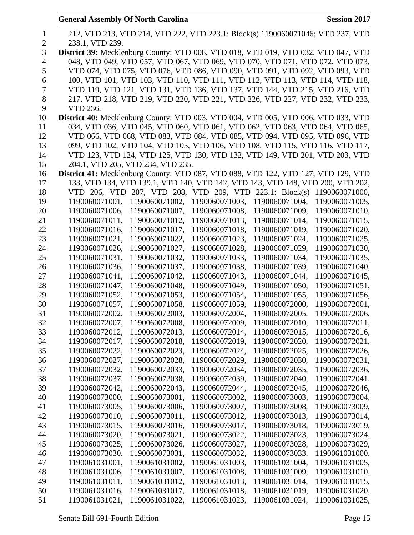|                | <b>General Assembly Of North Carolina</b>                                                | <b>Session 2017</b> |
|----------------|------------------------------------------------------------------------------------------|---------------------|
|                |                                                                                          |                     |
| $\mathbf{1}$   | 212, VTD 213, VTD 214, VTD 222, VTD 223.1: Block(s) 1190060071046; VTD 237, VTD          |                     |
| $\overline{2}$ | 238.1, VTD 239.                                                                          |                     |
| 3              | District 39: Mecklenburg County: VTD 008, VTD 018, VTD 019, VTD 032, VTD 047, VTD        |                     |
| $\overline{4}$ | 048, VTD 049, VTD 057, VTD 067, VTD 069, VTD 070, VTD 071, VTD 072, VTD 073,             |                     |
| 5              | VTD 074, VTD 075, VTD 076, VTD 086, VTD 090, VTD 091, VTD 092, VTD 093, VTD              |                     |
| 6              | 100, VTD 101, VTD 103, VTD 110, VTD 111, VTD 112, VTD 113, VTD 114, VTD 118,             |                     |
| $\tau$         | VTD 119, VTD 121, VTD 131, VTD 136, VTD 137, VTD 144, VTD 215, VTD 216, VTD              |                     |
| 8              | 217, VTD 218, VTD 219, VTD 220, VTD 221, VTD 226, VTD 227, VTD 232, VTD 233,             |                     |
| 9              | VTD 236.                                                                                 |                     |
| 10             | <b>District 40:</b> Mecklenburg County: VTD 003, VTD 004, VTD 005, VTD 006, VTD 033, VTD |                     |
| 11             | 034, VTD 036, VTD 045, VTD 060, VTD 061, VTD 062, VTD 063, VTD 064, VTD 065,             |                     |
| 12             | VTD 066, VTD 068, VTD 083, VTD 084, VTD 085, VTD 094, VTD 095, VTD 096, VTD              |                     |
| 13             | 099, VTD 102, VTD 104, VTD 105, VTD 106, VTD 108, VTD 115, VTD 116, VTD 117,             |                     |
| 14             | VTD 123, VTD 124, VTD 125, VTD 130, VTD 132, VTD 149, VTD 201, VTD 203, VTD              |                     |
| 15             | 204.1, VTD 205, VTD 234, VTD 235.                                                        |                     |
| 16             | District 41: Mecklenburg County: VTD 087, VTD 088, VTD 122, VTD 127, VTD 129, VTD        |                     |
| 17             | 133, VTD 134, VTD 139.1, VTD 140, VTD 142, VTD 143, VTD 148, VTD 200, VTD 202,           |                     |
| 18             | VTD 206, VTD 207, VTD 208, VTD 209, VTD 223.1: Block(s)                                  | 1190060071000,      |
| 19             | 1190060071003,<br>1190060071001,<br>1190060071002,<br>1190060071004,                     | 1190060071005,      |
| 20             | 1190060071007,<br>1190060071006,<br>1190060071008,<br>1190060071009,                     | 1190060071010,      |
| 21             | 1190060071011,<br>1190060071012,<br>1190060071013,<br>1190060071014,                     | 1190060071015,      |
| 22             | 1190060071016,<br>1190060071017,<br>1190060071018,<br>1190060071019,                     | 1190060071020,      |
| 23             | 1190060071021,<br>1190060071022,<br>1190060071023,<br>1190060071024,                     | 1190060071025,      |
| 24             | 1190060071026,<br>1190060071027,<br>1190060071028.<br>1190060071029,                     | 1190060071030,      |
| 25             | 1190060071031,<br>1190060071032,<br>1190060071033,<br>1190060071034,                     | 1190060071035,      |
| 26             | 1190060071036,<br>1190060071037,<br>1190060071038,<br>1190060071039,                     | 1190060071040,      |
| 27             | 1190060071041,<br>1190060071042,<br>1190060071043,<br>1190060071044,                     | 1190060071045,      |
| 28             | 1190060071047,<br>1190060071048,<br>1190060071049,<br>1190060071050,                     | 1190060071051,      |
| 29             | 1190060071053,<br>1190060071054,<br>1190060071055,<br>1190060071052,                     | 1190060071056,      |
| 30             | 1190060071057,<br>1190060071058,<br>1190060071059,<br>1190060072000,                     | 1190060072001,      |
| 31             | 1190060072002,<br>1190060072003,<br>1190060072004,<br>1190060072005,                     | 1190060072006,      |
| 32             | 1190060072007,<br>1190060072008,<br>1190060072009,<br>1190060072010,                     | 1190060072011,      |
| 33             | 1190060072012,<br>1190060072013,<br>1190060072014,<br>1190060072015,                     | 1190060072016,      |
| 34             | 1190060072018,<br>1190060072017,<br>1190060072019,<br>1190060072020,                     | 1190060072021,      |
| 35             | 1190060072022,<br>1190060072023,<br>1190060072024,<br>1190060072025,                     | 1190060072026,      |
| 36             | 1190060072027,<br>1190060072028,<br>1190060072029,<br>1190060072030,                     | 1190060072031,      |
| 37             | 1190060072032,<br>1190060072033,<br>1190060072035,<br>1190060072034,                     | 1190060072036,      |
| 38             | 1190060072037,<br>1190060072038,<br>1190060072039,<br>1190060072040,                     | 1190060072041,      |
| 39             | 1190060072042,<br>1190060072043,<br>1190060072044,<br>1190060072045,                     | 1190060072046,      |
| 40             | 1190060073000,<br>1190060073001,<br>1190060073002,<br>1190060073003,                     | 1190060073004,      |
| 41             | 1190060073005,<br>1190060073006,<br>1190060073007,<br>1190060073008,                     | 1190060073009,      |
| 42             | 1190060073010,<br>1190060073011,<br>1190060073012,<br>1190060073013,                     | 1190060073014,      |
| 43             | 1190060073016,<br>1190060073015,<br>1190060073017,<br>1190060073018.                     | 1190060073019,      |

 1190060073020, 1190060073021, 1190060073022, 1190060073023, 1190060073024, 1190060073025, 1190060073026, 1190060073027, 1190060073028, 1190060073029, 1190060073030, 1190060073031, 1190060073032, 1190060073033, 1190061031000, 1190061031001, 1190061031002, 1190061031003, 1190061031004, 1190061031005, 1190061031006, 1190061031007, 1190061031008, 1190061031009, 1190061031010, 1190061031011, 1190061031012, 1190061031013, 1190061031014, 1190061031015, 1190061031016, 1190061031017, 1190061031018, 1190061031019, 1190061031020, 1190061031021, 1190061031022, 1190061031023, 1190061031024, 1190061031025,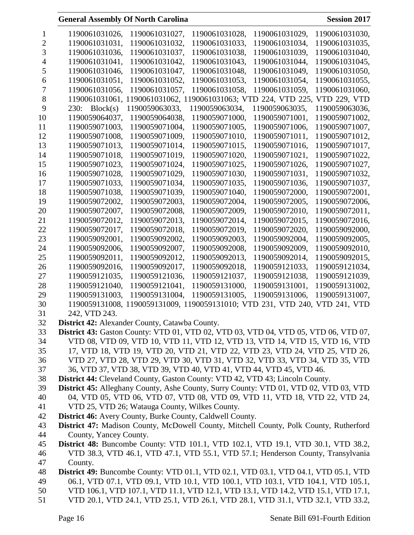|          | 1190061031026,<br>1190061031027,<br>1190061031028,<br>1190061031029,<br>1190061031030,                   |
|----------|----------------------------------------------------------------------------------------------------------|
| 2        | 1190061031031,<br>1190061031032,<br>1190061031033,<br>1190061031034,<br>1190061031035,                   |
| 3        | 1190061031036,<br>1190061031037,<br>1190061031038,<br>1190061031039,<br>1190061031040,                   |
| 4        | 1190061031041,<br>1190061031042,<br>1190061031043,<br>1190061031044,<br>1190061031045,                   |
| 5        | 1190061031046,<br>1190061031047,<br>1190061031048,<br>1190061031049.<br>1190061031050,                   |
| 6        | 1190061031051,<br>1190061031052,<br>1190061031053,<br>1190061031054,<br>1190061031055,                   |
| 7        | 1190061031058,<br>1190061031059,<br>1190061031056,<br>1190061031057,<br>1190061031060,                   |
| 8        | 1190061031061,<br>1190061031062, 1190061031063; VTD 224, VTD 225,<br>VTD 229, VTD                        |
| 9        | Block(s)<br>1190059063035.<br>1190059063036.<br>230:<br>1190059063033.<br>1190059063034,                 |
| 10       | 1190059064037,<br>1190059064038,<br>1190059071000,<br>1190059071001,<br>1190059071002,                   |
| 11       | 1190059071003,<br>1190059071004,<br>1190059071005,<br>1190059071006,<br>1190059071007,                   |
| 12       | 1190059071008,<br>1190059071009,<br>1190059071010,<br>1190059071012,<br>1190059071011,                   |
| 13       | 1190059071013,<br>1190059071014,<br>1190059071015,<br>1190059071016,<br>1190059071017,                   |
| 14       | 1190059071018,<br>1190059071019,<br>1190059071020,<br>1190059071021,<br>1190059071022,                   |
| 15       | 1190059071023,<br>1190059071024,<br>1190059071025,<br>1190059071026,<br>1190059071027,                   |
| 16       | 1190059071028,<br>1190059071029,<br>1190059071030,<br>1190059071031,<br>1190059071032,                   |
| 17       | 1190059071036,<br>1190059071033,<br>1190059071034,<br>1190059071035,<br>1190059071037,                   |
| 18       | 1190059071038,<br>1190059071039,<br>1190059071040,<br>1190059072000,<br>1190059072001,                   |
| 19       | 1190059072002,<br>1190059072003.<br>1190059072004,<br>1190059072005,<br>1190059072006,                   |
| 20       | 1190059072007,<br>1190059072008,<br>1190059072009,<br>1190059072010,<br>1190059072011,                   |
| 21       | 1190059072012,<br>1190059072013,<br>1190059072014,<br>1190059072015,<br>1190059072016,                   |
| 22       | 1190059072017,<br>1190059072018,<br>1190059072019,<br>1190059072020,<br>1190059092000,                   |
| 23       | 1190059092001,<br>1190059092002,<br>1190059092003,<br>1190059092004,<br>1190059092005,                   |
|          | 1190059092007,<br>1190059092008,<br>1190059092009,<br>1190059092010,                                     |
| 24<br>25 | 1190059092006,<br>1190059092011,<br>1190059092012,<br>1190059092013,<br>1190059092014,<br>1190059092015, |
| 26       | 1190059092016,<br>1190059092017,<br>1190059092018,<br>1190059121033,<br>1190059121034,                   |
| 27       | 1190059121036,<br>1190059121035,<br>1190059121037,<br>1190059121038,<br>1190059121039,                   |
| 28       | 1190059121040,<br>1190059121041,<br>1190059131000,<br>1190059131001,<br>1190059131002,                   |
| 29       | 1190059131006,<br>1190059131007.<br>1190059131003.<br>1190059131004,                                     |
| 30       | 1190059131005,<br>1190059131008, 1190059131009, 1190059131010; VTD 231, VTD 240,<br>VTD 241, VTD         |
| 31       | 242, VTD 243.                                                                                            |
| 32       | District 42: Alexander County, Catawba County.                                                           |
| 33       | <b>District 43:</b> Gaston County: VTD 01, VTD 02, VTD 03, VTD 04, VTD 05, VTD 06, VTD 07,               |
| 34       | VTD 08, VTD 09, VTD 10, VTD 11, VTD 12, VTD 13, VTD 14, VTD 15, VTD 16, VTD                              |
| 35       | 17, VTD 18, VTD 19, VTD 20, VTD 21, VTD 22, VTD 23, VTD 24, VTD 25, VTD 26,                              |
| 36       | VTD 27, VTD 28, VTD 29, VTD 30, VTD 31, VTD 32, VTD 33, VTD 34, VTD 35, VTD                              |
| 37       | 36, VTD 37, VTD 38, VTD 39, VTD 40, VTD 41, VTD 44, VTD 45, VTD 46.                                      |
| 38       | District 44: Cleveland County, Gaston County: VTD 42, VTD 43; Lincoln County.                            |
| 39       | District 45: Alleghany County, Ashe County, Surry County: VTD 01, VTD 02, VTD 03, VTD                    |
| 40       | 04, VTD 05, VTD 06, VTD 07, VTD 08, VTD 09, VTD 11, VTD 18, VTD 22, VTD 24,                              |
| 41       | VTD 25, VTD 26; Watauga County, Wilkes County.                                                           |
| 42       | <b>District 46:</b> Avery County, Burke County, Caldwell County.                                         |
| 43       | District 47: Madison County, McDowell County, Mitchell County, Polk County, Rutherford                   |
| 44       | County, Yancey County.                                                                                   |
| 45       | <b>District 48:</b> Buncombe County: VTD 101.1, VTD 102.1, VTD 19.1, VTD 30.1, VTD 38.2,                 |
| 46       | VTD 38.3, VTD 46.1, VTD 47.1, VTD 55.1, VTD 57.1; Henderson County, Transylvania                         |
| 47       | County.                                                                                                  |
| 48       | <b>District 49:</b> Buncombe County: VTD 01.1, VTD 02.1, VTD 03.1, VTD 04.1, VTD 05.1, VTD               |
| 49       | 06.1, VTD 07.1, VTD 09.1, VTD 10.1, VTD 100.1, VTD 103.1, VTD 104.1, VTD 105.1,                          |
| 50       | VTD 106.1, VTD 107.1, VTD 11.1, VTD 12.1, VTD 13.1, VTD 14.2, VTD 15.1, VTD 17.1,                        |
| 51       | VTD 20.1, VTD 24.1, VTD 25.1, VTD 26.1, VTD 28.1, VTD 31.1, VTD 32.1, VTD 33.2,                          |